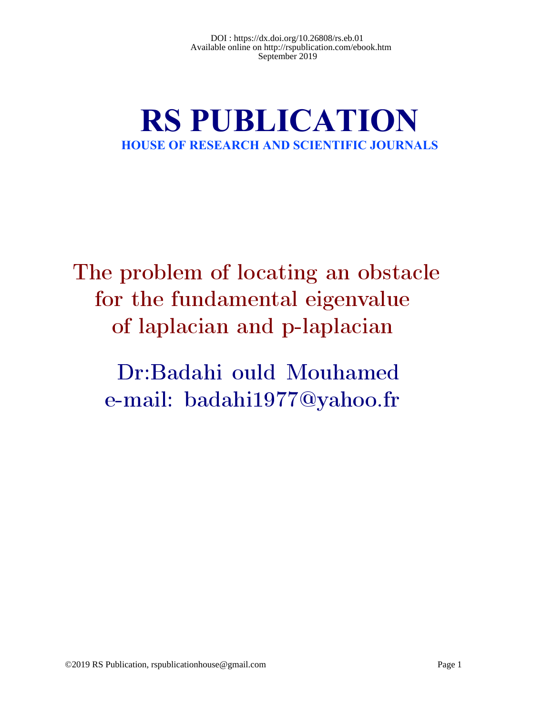# **RS PUBLICATION HOUSE OF RESEARCH AND SCIENTIFIC JOURNALS**

The problem of locating an obstacle for the fundamental eigenvalue of laplacian and p-laplacian

Dr:Badahi ould Mouhamed e-mail: badahi1977@yahoo.fr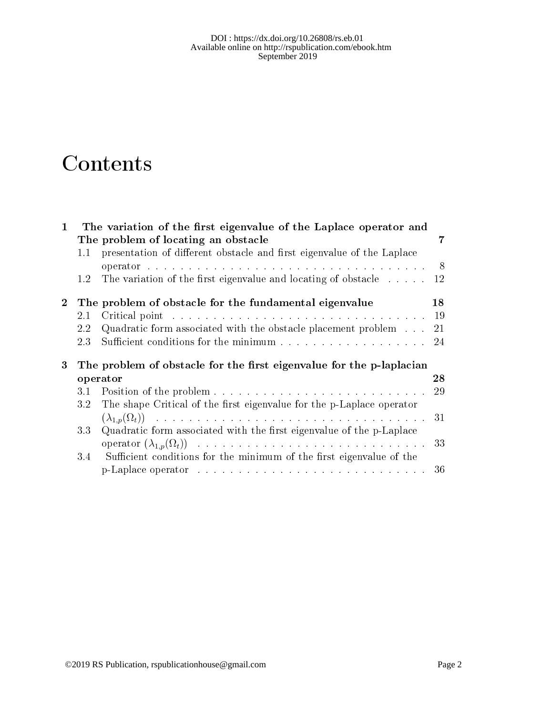#### $DOI$ : https://dx.doi.org/10.26808/rs.eb.01 Available online on http://rspublication.com/ebook.htm September 2019

# Contents

| $\mathbf 1$    |                                                                      | The variation of the first eigenvalue of the Laplace operator and                                                                                                                                                              |                |
|----------------|----------------------------------------------------------------------|--------------------------------------------------------------------------------------------------------------------------------------------------------------------------------------------------------------------------------|----------------|
|                |                                                                      | The problem of locating an obstacle                                                                                                                                                                                            | 7              |
|                | 1.1                                                                  | presentation of different obstacle and first eigenvalue of the Laplace                                                                                                                                                         |                |
|                |                                                                      |                                                                                                                                                                                                                                | 8 <sup>8</sup> |
|                | $1.2\,$                                                              | The variation of the first eigenvalue and locating of obstacle                                                                                                                                                                 | 12             |
| 2 <sup>1</sup> |                                                                      | The problem of obstacle for the fundamental eigenvalue                                                                                                                                                                         | 18             |
|                | 2.1                                                                  |                                                                                                                                                                                                                                | 19             |
|                | 2.2                                                                  | Quadratic form associated with the obstacle placement problem                                                                                                                                                                  | 21             |
|                | 2.3                                                                  | Sufficient conditions for the minimum resources in the set of the set of the minimum resources in the set of the set of the set of the set of the set of the set of the set of the set of the set of the set of the set of the | 24             |
| 3              | The problem of obstacle for the first eigenvalue for the p-laplacian |                                                                                                                                                                                                                                |                |
|                |                                                                      | operator                                                                                                                                                                                                                       | 28             |
|                | 3.1                                                                  |                                                                                                                                                                                                                                | 29             |
|                | 3.2                                                                  | The shape Critical of the first eigenvalue for the p-Laplace operator                                                                                                                                                          |                |
|                |                                                                      |                                                                                                                                                                                                                                | 31             |
|                | 3.3                                                                  | Quadratic form associated with the first eigenvalue of the p-Laplace                                                                                                                                                           |                |
|                |                                                                      |                                                                                                                                                                                                                                | 33             |
|                | 3.4                                                                  | Sufficient conditions for the minimum of the first eigenvalue of the                                                                                                                                                           |                |
|                |                                                                      |                                                                                                                                                                                                                                | 36             |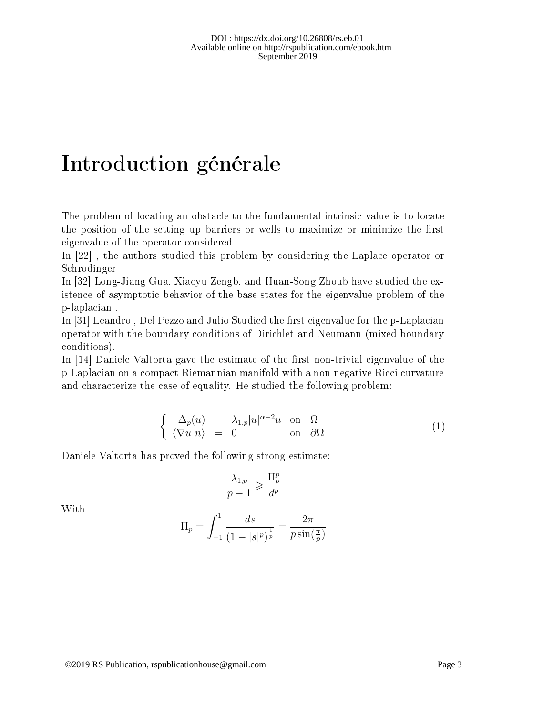## Introduction générale

The problem of locating an obstacle to the fundamental intrinsic value is to locate the position of the setting up barriers or wells to maximize or minimize the first eigenvalue of the operator considered.

In [22] , the authors studied this problem by considering the Laplace operator or Schrodinger

In [32] Long-Jiang Gua, Xiaoyu Zengb, and Huan-Song Zhoub have studied the existence of asymptotic behavior of the base states for the eigenvalue problem of the p-laplacian .

In  $|31|$  Leandro, Del Pezzo and Julio Studied the first eigenvalue for the p-Laplacian operator with the boundary conditions of Dirichlet and Neumann (mixed boundary conditions).

In  $[14]$  Daniele Valtorta gave the estimate of the first non-trivial eigenvalue of the p-Laplacian on a compact Riemannian manifold with a non-negative Ricci curvature and characterize the case of equality. He studied the following problem:

$$
\begin{cases}\n\Delta_p(u) = \lambda_{1,p} |u|^{\alpha - 2} u \text{ on } \Omega \\
\langle \nabla u \rangle_n = 0 \text{ on } \partial \Omega\n\end{cases} (1)
$$

Daniele Valtorta has proved the following strong estimate:

$$
\frac{\lambda_{1,p}}{p-1} \geqslant \frac{\Pi_p^p}{d^p}
$$

With

$$
\Pi_p = \int_{-1}^{1} \frac{ds}{(1 - |s|^p)^{\frac{1}{p}}} = \frac{2\pi}{p \sin(\frac{\pi}{p})}
$$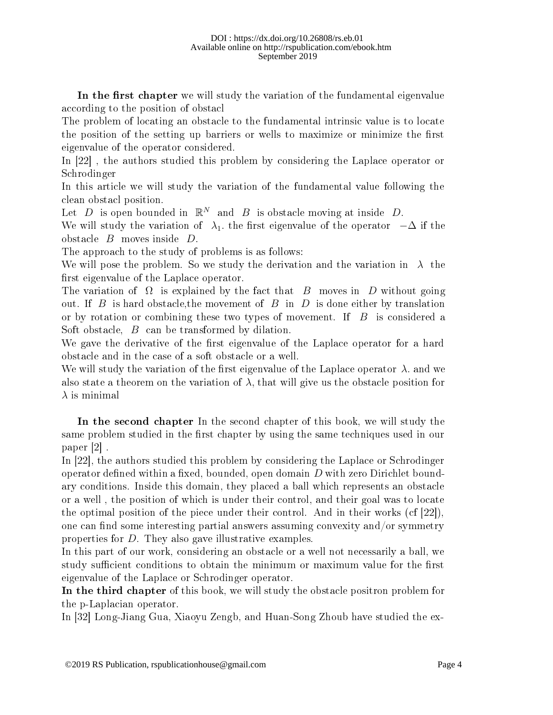In the first chapter we will study the variation of the fundamental eigenvalue according to the position of obstacl

The problem of locating an obstacle to the fundamental intrinsic value is to locate the position of the setting up barriers or wells to maximize or minimize the first eigenvalue of the operator considered.

In [22] , the authors studied this problem by considering the Laplace operator or Schrodinger

In this article we will study the variation of the fundamental value following the clean obstacl position.

Let D is open bounded in  $\mathbb{R}^N$  and B is obstacle moving at inside D.

We will study the variation of  $\lambda_1$ , the first eigenvalue of the operator  $-\Delta$  if the obstacle B moves inside D.

The approach to the study of problems is as follows:

We will pose the problem. So we study the derivation and the variation in  $\lambda$  the first eigenvalue of the Laplace operator.

The variation of  $\Omega$  is explained by the fact that B moves in D without going out. If B is hard obstacle, the movement of B in D is done either by translation or by rotation or combining these two types of movement. If  $\overline{B}$  is considered a Soft obstacle, B can be transformed by dilation.

We gave the derivative of the first eigenvalue of the Laplace operator for a hard obstacle and in the case of a soft obstacle or a well.

We will study the variation of the first eigenvalue of the Laplace operator  $\lambda$ . and we also state a theorem on the variation of  $\lambda$ , that will give us the obstacle position for  $\lambda$  is minimal

In the second chapter In the second chapter of this book, we will study the same problem studied in the first chapter by using the same techniques used in our paper [2] .

In [22], the authors studied this problem by considering the Laplace or Schrodinger operator defined within a fixed, bounded, open domain  $D$  with zero Dirichlet boundary conditions. Inside this domain, they placed a ball which represents an obstacle or a well , the position of which is under their control, and their goal was to locate the optimal position of the piece under their control. And in their works (cf [22]), one can find some interesting partial answers assuming convexity and/or symmetry properties for D. They also gave illustrative examples.

In this part of our work, considering an obstacle or a well not necessarily a ball, we study sufficient conditions to obtain the minimum or maximum value for the first eigenvalue of the Laplace or Schrodinger operator.

In the third chapter of this book, we will study the obstacle positron problem for the p-Laplacian operator.

In [32] Long-Jiang Gua, Xiaoyu Zengb, and Huan-Song Zhoub have studied the ex-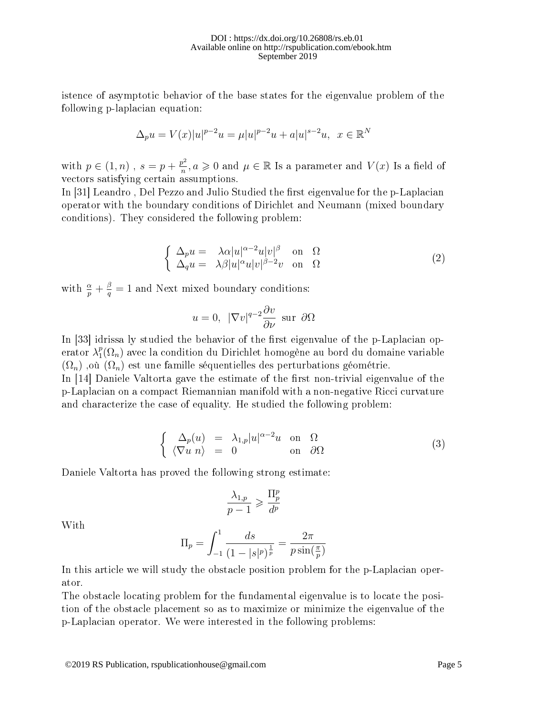istence of asymptotic behavior of the base states for the eigenvalue problem of the following p-laplacian equation:

$$
\Delta_p u = V(x)|u|^{p-2}u = \mu |u|^{p-2}u + a|u|^{s-2}u, \ \ x \in \mathbb{R}^N
$$

with  $p \in (1, n)$ ,  $s = p + \frac{p^2}{n}$  $\frac{\partial^2 p^2}{\partial n^2}, a \geqslant 0 \text{ and } \mu \in \mathbb{R}$  Is a parameter and  $V(x)$  Is a field of vectors satisfying certain assumptions.

In [31] Leandro, Del Pezzo and Julio Studied the first eigenvalue for the p-Laplacian operator with the boundary conditions of Dirichlet and Neumann (mixed boundary conditions). They considered the following problem:

$$
\begin{cases}\n\Delta_p u = \lambda \alpha |u|^{\alpha - 2} u |v|^{\beta} \quad \text{on} \quad \Omega \\
\Delta_q u = \lambda \beta |u|^{\alpha} u |v|^{\beta - 2} v \quad \text{on} \quad \Omega\n\end{cases} (2)
$$

with  $\frac{\alpha}{p} + \frac{\beta}{q}$  $\frac{\beta}{q} = 1$  and Next mixed boundary conditions:

$$
u = 0
$$
,  $|\nabla v|^{q-2} \frac{\partial v}{\partial \nu}$  sur  $\partial \Omega$ 

In [33] idrissa ly studied the behavior of the first eigenvalue of the p-Laplacian operator  $\lambda_1^p$  $_{1}^{p}(\Omega_{n})$  avec la condition du Dirichlet homogène au bord du domaine variable  $(\Omega_n)$ , où  $(\Omega_n)$  est une famille séquentielles des perturbations géométrie.

In  $[14]$  Daniele Valtorta gave the estimate of the first non-trivial eigenvalue of the p-Laplacian on a compact Riemannian manifold with a non-negative Ricci curvature and characterize the case of equality. He studied the following problem:

$$
\begin{cases}\n\Delta_p(u) = \lambda_{1,p} |u|^{\alpha - 2} u \text{ on } \Omega \\
\langle \nabla u | n \rangle = 0 \text{ on } \partial \Omega\n\end{cases}
$$
\n(3)

Daniele Valtorta has proved the following strong estimate:

$$
\frac{\lambda_{1,p}}{p-1}\geqslant \frac{\Pi^p_p}{d^p}
$$

With

$$
\Pi_p = \int_{-1}^1 \frac{ds}{(1 - |s|^p)^{\frac{1}{p}}} = \frac{2\pi}{p \sin(\frac{\pi}{p})}
$$

In this article we will study the obstacle position problem for the p-Laplacian operator.

The obstacle locating problem for the fundamental eigenvalue is to locate the position of the obstacle placement so as to maximize or minimize the eigenvalue of the p-Laplacian operator. We were interested in the following problems: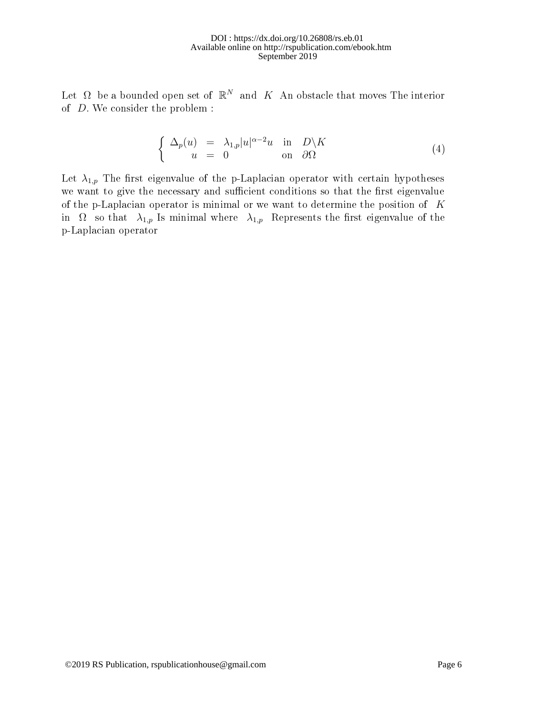Let  $\Omega$  be a bounded open set of  $\mathbb{R}^N$  and  $K$  An obstacle that moves The interior of D. We consider the problem :

$$
\begin{cases}\n\Delta_p(u) = \lambda_{1,p}|u|^{\alpha-2}u & \text{in} \quad D\backslash K \\
u = 0 & \text{on} \quad \partial\Omega\n\end{cases} (4)
$$

Let  $\lambda_{1,p}$  The first eigenvalue of the p-Laplacian operator with certain hypotheses we want to give the necessary and sufficient conditions so that the first eigenvalue of the p-Laplacian operator is minimal or we want to determine the position of  $K$ in  $\Omega$  so that  $\lambda_{1,p}$  Is minimal where  $\lambda_{1,p}$  Represents the first eigenvalue of the p-Laplacian operator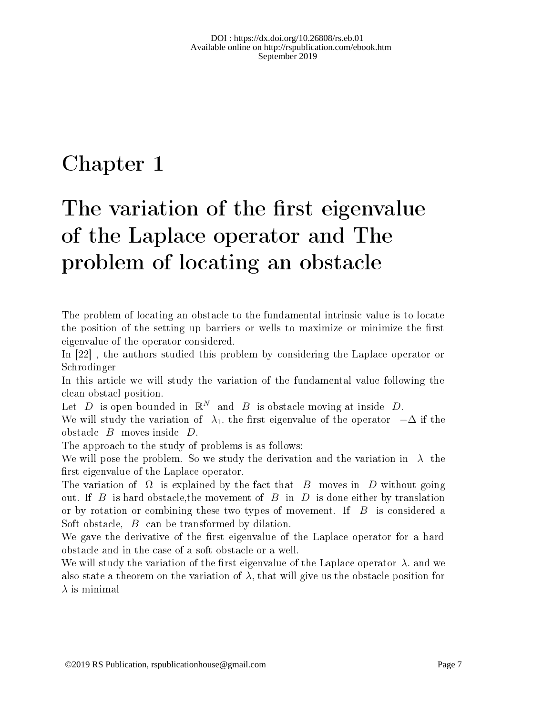# Chapter 1

# The variation of the first eigenvalue of the Laplace operator and The problem of locating an obstacle

The problem of locating an obstacle to the fundamental intrinsic value is to locate the position of the setting up barriers or wells to maximize or minimize the first eigenvalue of the operator considered.

In [22] , the authors studied this problem by considering the Laplace operator or Schrodinger

In this article we will study the variation of the fundamental value following the clean obstacl position.

Let D is open bounded in  $\mathbb{R}^N$  and B is obstacle moving at inside D.

We will study the variation of  $\lambda_1$ , the first eigenvalue of the operator  $-\Delta$  if the obstacle B moves inside D.

The approach to the study of problems is as follows:

We will pose the problem. So we study the derivation and the variation in  $\lambda$  the first eigenvalue of the Laplace operator.

The variation of  $\Omega$  is explained by the fact that B moves in D without going out. If B is hard obstacle, the movement of B in D is done either by translation or by rotation or combining these two types of movement. If  $B$  is considered a Soft obstacle, B can be transformed by dilation.

We gave the derivative of the first eigenvalue of the Laplace operator for a hard obstacle and in the case of a soft obstacle or a well.

We will study the variation of the first eigenvalue of the Laplace operator  $\lambda$ . and we also state a theorem on the variation of  $\lambda$ , that will give us the obstacle position for  $\lambda$  is minimal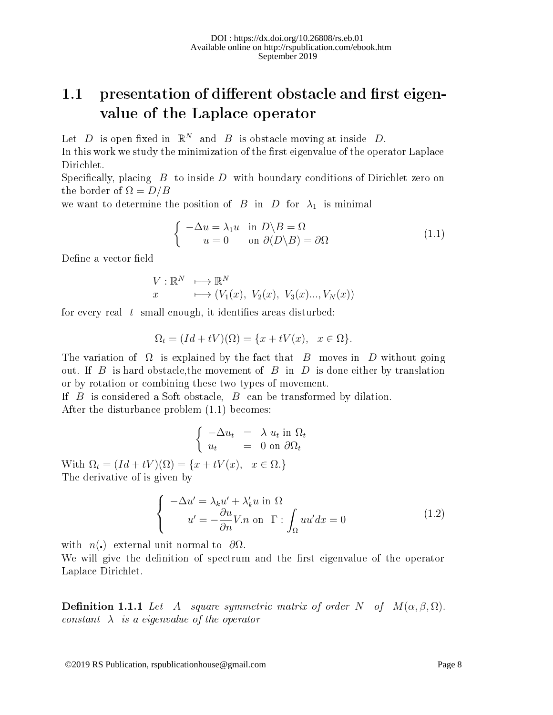## 1.1 presentation of different obstacle and first eigenvalue of the Laplace operator

Let D is open fixed in  $\mathbb{R}^N$  and B is obstacle moving at inside D. In this work we study the minimization of the first eigenvalue of the operator Laplace

Dirichlet.

Specifically, placing  $B$  to inside  $D$  with boundary conditions of Dirichlet zero on the border of  $\Omega = D/B$ 

we want to determine the position of B in D for  $\lambda_1$  is minimal

$$
\begin{cases}\n-\Delta u = \lambda_1 u & \text{in } D \setminus B = \Omega \\
u = 0 & \text{on } \partial(D \setminus B) = \partial\Omega\n\end{cases}
$$
\n(1.1)

Define a vector field

$$
V: \mathbb{R}^N \longrightarrow \mathbb{R}^N
$$
  
 $x \longrightarrow (V_1(x), V_2(x), V_3(x), V_N(x))$ 

for every real  $t$  small enough, it identifies areas disturbed:

$$
\Omega_t = (Id + tV)(\Omega) = \{x + tV(x), \quad x \in \Omega\}.
$$

The variation of  $\Omega$  is explained by the fact that B moves in D without going out. If B is hard obstacle, the movement of B in D is done either by translation or by rotation or combining these two types of movement.

If  $B$  is considered a Soft obstacle,  $B$  can be transformed by dilation. After the disturbance problem (1.1) becomes:

$$
\begin{cases}\n-\Delta u_t &= \lambda u_t \text{ in } \Omega_t \\
u_t &= 0 \text{ on } \partial \Omega_t\n\end{cases}
$$

With  $\Omega_t = (Id + tV)(\Omega) = \{x + tV(x), \, x \in \Omega.\}$ The derivative of is given by

$$
\begin{cases}\n-\Delta u' = \lambda_k u' + \lambda'_k u \text{ in } \Omega \\
u' = -\frac{\partial u}{\partial n} V.n \text{ on } \Gamma: \int_{\Omega} u u' dx = 0\n\end{cases}
$$
\n(1.2)

with  $n(\cdot)$  external unit normal to  $\partial\Omega$ .

We will give the definition of spectrum and the first eigenvalue of the operator Laplace Dirichlet.

**Definition 1.1.1** Let A square symmetric matrix of order N of  $M(\alpha, \beta, \Omega)$ . constant  $\lambda$  is a eigenvalue of the operator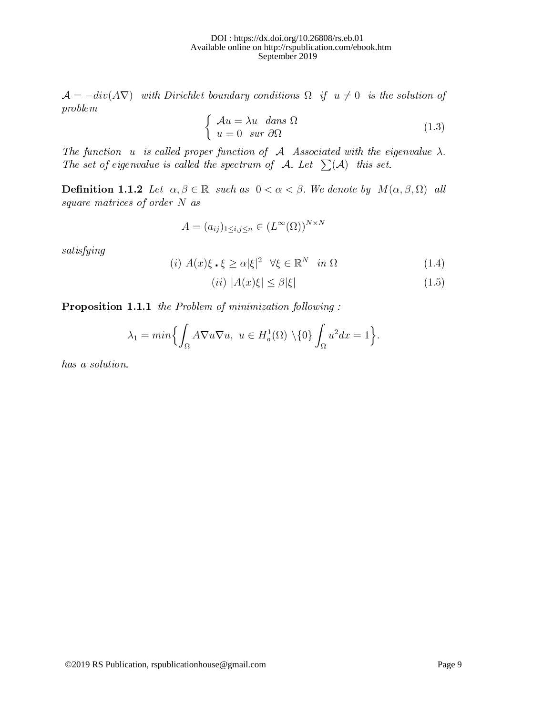$\mathcal{A} = -div(A\nabla)$  with Dirichlet boundary conditions  $\Omega$  if  $u \neq 0$  is the solution of problem

$$
\begin{cases}\n\mathcal{A}u = \lambda u \quad \text{dans } \Omega \\
u = 0 \quad \text{sur } \partial \Omega\n\end{cases} (1.3)
$$

The function u is called proper function of  $A$  Associated with the eigenvalue  $\lambda$ . The set of eigenvalue is called the spectrum of A. Let  $\sum(A)$  this set.

Definition 1.1.2 Let  $\alpha, \beta \in \mathbb{R}$  such as  $0 < \alpha < \beta$ . We denote by  $M(\alpha, \beta, \Omega)$  all square matrices of order N as

$$
A = (a_{ij})_{1 \le i,j \le n} \in (L^{\infty}(\Omega))^{N \times N}
$$

satisfying

$$
(i) A(x)\xi \cdot \xi \ge \alpha |\xi|^2 \quad \forall \xi \in \mathbb{R}^N \quad in \ \Omega \tag{1.4}
$$

$$
(ii) |A(x)\xi| \le \beta |\xi| \tag{1.5}
$$

Proposition 1.1.1 the Problem of minimization following :

$$
\lambda_1 = \min\Bigl\{\int_{\Omega} A\nabla u \nabla u, \ u \in H^1_o(\Omega) \setminus \{0\} \int_{\Omega} u^2 dx = 1\Bigr\}.
$$

has a solution.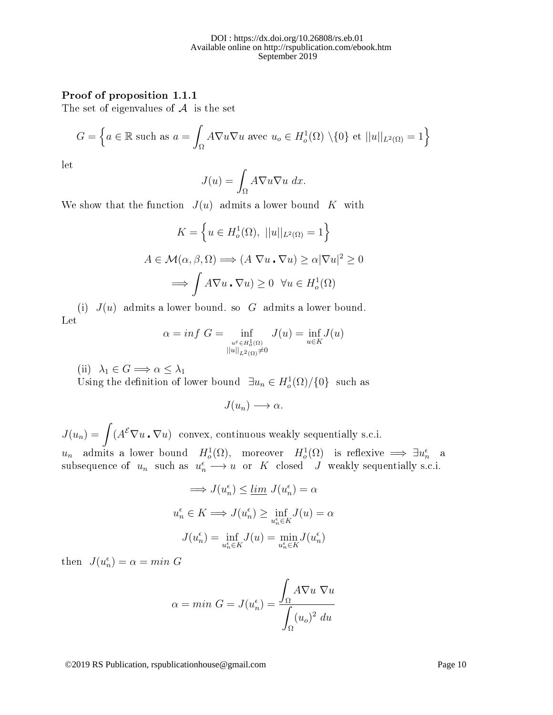#### Proof of proposition 1.1.1

The set of eigenvalues of  $A$  is the set

$$
G = \left\{ a \in \mathbb{R} \text{ such as } a = \int_{\Omega} A \nabla u \nabla u \text{ avec } u_o \in H_o^1(\Omega) \setminus \{0\} \text{ et } ||u||_{L^2(\Omega)} = 1 \right\}
$$

let

$$
J(u) = \int_{\Omega} A \nabla u \nabla u \, dx.
$$

We show that the function  $J(u)$  admits a lower bound K with

$$
K = \left\{ u \in H_o^1(\Omega), ||u||_{L^2(\Omega)} = 1 \right\}
$$

$$
A \in \mathcal{M}(\alpha, \beta, \Omega) \Longrightarrow (A \nabla u \cdot \nabla u) \ge \alpha |\nabla u|^2 \ge 0
$$

$$
\Longrightarrow \int A \nabla u \cdot \nabla u \ge 0 \quad \forall u \in H_o^1(\Omega)
$$

(i)  $J(u)$  admits a lower bound. so G admits a lower bound. Let

$$
\alpha = \inf \limits_{\substack{u \in H_o^1(\Omega) \\ ||u||_{L^2(\Omega)} \neq 0}} J(u) = \inf \limits_{u \in K} J(u)
$$

(ii)  $\lambda_1 \in G \Longrightarrow \alpha \leq \lambda_1$ 

Using the definition of lower bound  $\exists u_n \in H_o^1(\Omega)/\{0\}$  such as

$$
J(u_n) \longrightarrow \alpha.
$$

 $J(u_n) = \int (A^{\mathcal{E}} \nabla u \cdot \nabla u)$  convex, continuous weakly sequentially s.c.i.  $u_n$  admits a lower bound  $H_o^1(\Omega)$ , moreover  $H_o^1(\Omega)$  is reflexive  $\implies \exists u_n^{\epsilon}$  a subsequence of  $u_n$  such as  $u_n^{\epsilon} \longrightarrow u$  or K closed J weakly sequentially s.c.i.

$$
\implies J(u_n^{\epsilon}) \le \underline{\lim}_{u_n^{\epsilon}} J(u_n^{\epsilon}) = \alpha
$$
  

$$
u_n^{\epsilon} \in K \implies J(u_n^{\epsilon}) \ge \inf_{u_n^{\epsilon} \in K} J(u) = \alpha
$$
  

$$
J(u_n^{\epsilon}) = \inf_{u_n^{\epsilon} \in K} J(u) = \min_{u_n^{\epsilon} \in K} J(u_n^{\epsilon})
$$

then  $J(u_n^{\epsilon}) = \alpha = min G$ 

$$
\alpha = \min \, G = J(u_n^{\epsilon}) = \frac{\int_{\Omega} A \nabla u \, \nabla u}{\int_{\Omega} (u_o)^2 \, du}
$$

©2019 RS Publication, rspublicationhouse@gmail.com Page 10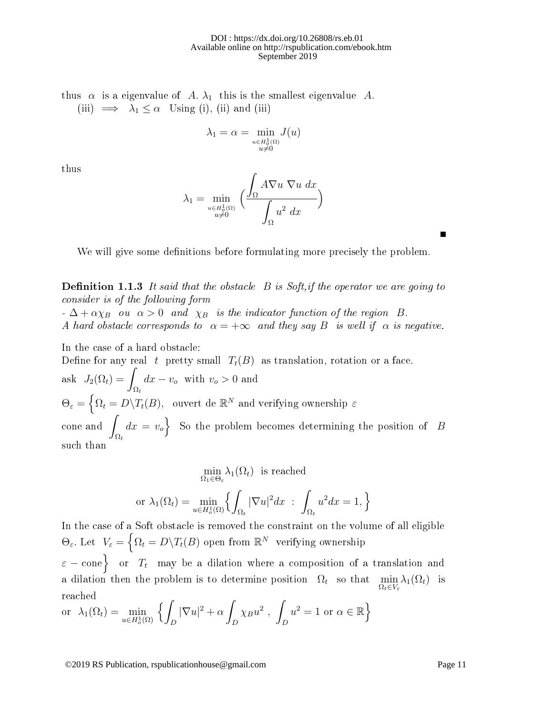#### DOI : https://dx.doi.org/10.26808/rs.eb.01 Available online on http://rspublication.com/ebook.htm September 2019

thus  $\alpha$  is a eigenvalue of A.  $\lambda_1$  this is the smallest eigenvalue A. (iii)  $\implies \lambda_1 \leq \alpha$  Using (i), (ii) and (iii)

$$
\lambda_1=\alpha=\min_{\substack{u\in H^1_o(\Omega)\\ u\neq 0}}J(u)
$$

thus

$$
\lambda_1 = \min_{\substack{u \in H_o^1(\Omega) \\ u \neq 0}} \left( \frac{\int_{\Omega} A \nabla u \, \nabla u \, dx}{\int_{\Omega} u^2 \, dx} \right)
$$

We will give some definitions before formulating more precisely the problem.

**Definition 1.1.3** It said that the obstacle  $B$  is Soft, if the operator we are going to consider is of the following form

 $-\Delta + \alpha \chi_B$  ou  $\alpha > 0$  and  $\chi_B$  is the indicator function of the region B. A hard obstacle corresponds to  $\alpha = +\infty$  and they say B is well if  $\alpha$  is negative.

In the case of a hard obstacle: Define for any real t pretty small  $T_t(B)$  as translation, rotation or a face. ask  $J_2(\Omega_t) =$  $\Omega_t$  $dx - v_o$  with  $v_o > 0$  and  $\Theta_\varepsilon = \Big\{ \Omega_t = D \backslash T_t(B), \hbox{ \ \textrm{ouvert de }} \mathbb{R}^N \hbox{ \textrm{and verifying ownership } \varepsilon}$  $\frac{1}{2}$  cone and  $\frac{1}{2}$  $\Omega_t$  $dx = v_o$  So the problem becomes determining the position of B such than

$$
\min_{\Omega_1 \in \Theta_{\varepsilon}} \lambda_1(\Omega_t) \text{ is reached}
$$
\n
$$
\text{or } \lambda_1(\Omega_t) = \min_{u \in H_o^1(\Omega)} \left\{ \int_{\Omega_t} |\nabla u|^2 dx \; : \; \int_{\Omega_t} u^2 dx = 1, \right\}
$$

In the case of a Soft obstacle is removed the constraint on the volume of all eligible  $\Theta_{\varepsilon}$ . Let  $V_{\varepsilon} = \left\{ \Omega_t = D \backslash T_t(B) \text{ open from } \mathbb{R}^N \text{ verifying ownership} \right\}$  $\varepsilon-\text{cone}\big\} \,\,\,\,\, \text{or} \,\,\,\, T_t \,\,\, \text{ may be a dilation where a composition of a translation and }$ a dilation then the problem is to determine position  $\Omega_t$  so that  $\min_{\Omega_t \in V_{\varepsilon}} \lambda_1(\Omega_t)$  is reached

or 
$$
\lambda_1(\Omega_t) = \min_{u \in H_o^1(\Omega)} \left\{ \int_D |\nabla u|^2 + \alpha \int_D \chi_B u^2 , \int_D u^2 = 1 \text{ or } \alpha \in \mathbb{R} \right\}
$$

©2019 RS Publication, rspublicationhouse@gmail.com Page 11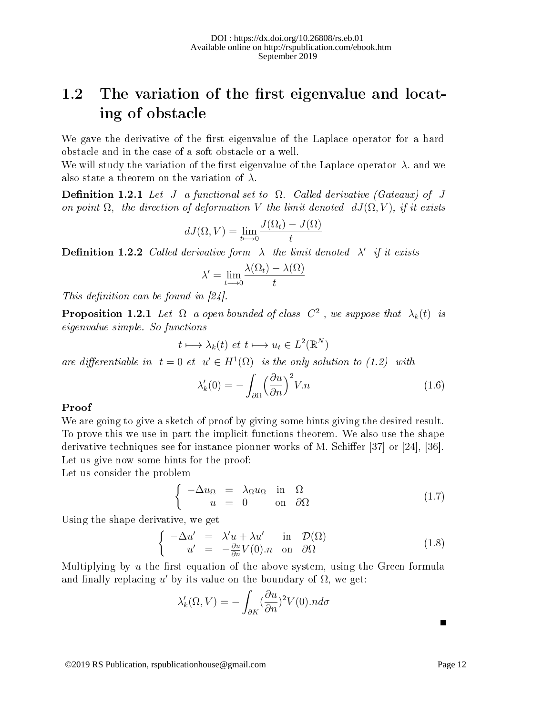## 1.2 The variation of the first eigenvalue and locating of obstacle

We gave the derivative of the first eigenvalue of the Laplace operator for a hard obstacle and in the case of a soft obstacle or a well.

We will study the variation of the first eigenvalue of the Laplace operator  $\lambda$ . and we also state a theorem on the variation of  $\lambda$ .

**Definition 1.2.1** Let J a functional set to  $\Omega$ . Called derivative (Gateaux) of J on point  $\Omega$ , the direction of deformation V the limit denoted  $dJ(\Omega, V)$ , if it exists

$$
dJ(\Omega, V) = \lim_{t \to 0} \frac{J(\Omega_t) - J(\Omega)}{t}
$$

**Definition 1.2.2** Called derivative form  $\lambda$  the limit denoted  $\lambda'$  if it exists

$$
\lambda' = \lim_{t \to 0} \frac{\lambda(\Omega_t) - \lambda(\Omega)}{t}
$$

This definition can be found in  $[24]$ .

**Proposition 1.2.1** Let  $\Omega$  a open bounded of class  $C^2$  , we suppose that  $\lambda_k(t)$  is eigenvalue simple. So functions

$$
t \longmapsto \lambda_k(t) \, \text{ et } t \longmapsto u_t \in L^2(\mathbb{R}^N)
$$

are differentiable in  $t=0$  et  $u' \in H^1(\Omega)$  is the only solution to (1.2) with

$$
\lambda_k'(0) = -\int_{\partial\Omega} \left(\frac{\partial u}{\partial n}\right)^2 V.n \tag{1.6}
$$

#### Proof

We are going to give a sketch of proof by giving some hints giving the desired result. To prove this we use in part the implicit functions theorem. We also use the shape derivative techniques see for instance pionner works of M. Schiffer  $[37]$  or  $[24]$ ,  $[36]$ . Let us give now some hints for the proof:

Let us consider the problem

$$
\begin{cases}\n-\Delta u_{\Omega} = \lambda_{\Omega} u_{\Omega} & \text{in } \Omega \\
u = 0 & \text{on } \partial\Omega\n\end{cases}
$$
\n(1.7)

Using the shape derivative, we get

$$
\begin{cases}\n-\Delta u' &= \lambda' u + \lambda u' & \text{in } \mathcal{D}(\Omega) \\
u' &= -\frac{\partial u}{\partial n} V(0).n & \text{on } \partial\Omega\n\end{cases}
$$
\n(1.8)

Multiplying by  $u$  the first equation of the above system, using the Green formula and finally replacing  $u'$  by its value on the boundary of  $\Omega$ , we get:

$$
\lambda'_k(\Omega, V) = -\int_{\partial K} (\frac{\partial u}{\partial n})^2 V(0) . n d\sigma
$$

П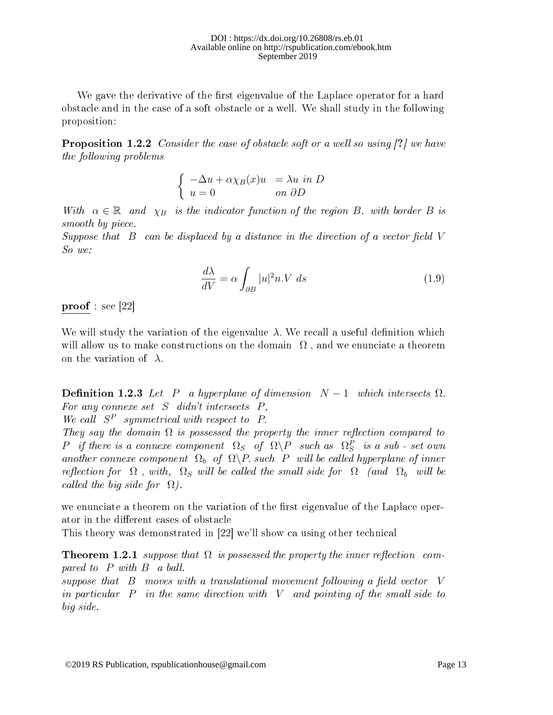We gave the derivative of the first eigenvalue of the Laplace operator for a hard obstacle and in the case of a soft obstacle or a well. We shall study in the following proposition:

**Proposition 1.2.2** Consider the case of obstacle soft or a well so using [?] we have the following problems

$$
\begin{cases}\n-\Delta u + \alpha \chi_B(x)u &= \lambda u \text{ in } D \\
u = 0 & \text{ on } \partial D\n\end{cases}
$$

With  $\alpha \in \mathbb{R}$  and  $\chi_B$  is the indicator function of the region B. with border B is smooth by piece.

Suppose that  $B$  can be displaced by a distance in the direction of a vector field V So we:

$$
\frac{d\lambda}{dV} = \alpha \int_{\partial B} |u|^2 n.V \ ds \tag{1.9}
$$

proof : see [22]

We will study the variation of the eigenvalue  $\lambda$ . We recall a useful definition which will allow us to make constructions on the domain  $\Omega$ , and we enunciate a theorem on the variation of  $\lambda$ .

**Definition 1.2.3** Let P a hyperplane of dimension  $N-1$  which intersects  $\Omega$ . For any connexe set  $S$  didn't intersects  $P$ ,

We call  $S^P$  symmetrical with respect to P.

They say the domain  $\Omega$  is possessed the property the inner reflection compared to  $P$  if there is a connexe component  $\Omega_S$  of  $\Omega \backslash P$  such as  $\Omega_S^P$  is a sub-set own another connexe component  $\Omega_b$  of  $\Omega \backslash P$  such P will be called hyperplane of inner reflection for  $\Omega$ , with,  $\Omega_S$  will be called the small side for  $\Omega$  (and  $\Omega_b$  will be called the big side for  $\Omega$ ).

we enunciate a theorem on the variation of the first eigenvalue of the Laplace operator in the different cases of obstacle

This theory was demonstrated in [22] we'll show ca using other technical

**Theorem 1.2.1** suppose that  $\Omega$  is possessed the property the inner reflection compared to P with B a ball.

suppose that  $\,$ B moves with a translational movement following a field vector  $\,$ V in particular  $P$  in the same direction with  $V$  and pointing of the small side to big side.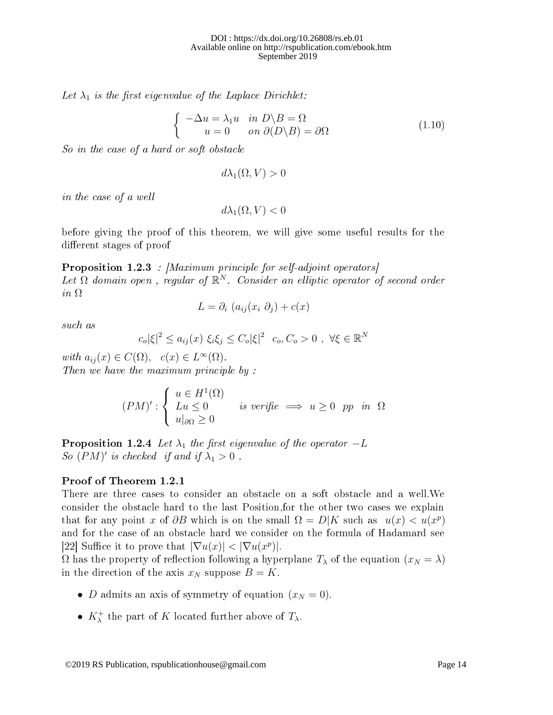Let  $\lambda_1$  is the first eigenvalue of the Laplace Dirichlet:

$$
\begin{cases}\n-\Delta u = \lambda_1 u & \text{in } D \setminus B = \Omega \\
u = 0 & \text{on } \partial(D \setminus B) = \partial\Omega\n\end{cases}
$$
\n(1.10)

So in the case of a hard or soft obstacle

$$
d\lambda_1(\Omega, V) > 0
$$

in the case of a well

$$
d\lambda_1(\Omega, V) < 0
$$

before giving the proof of this theorem, we will give some useful results for the different stages of proof

Proposition 1.2.3 : [Maximum principle for self-adjoint operators] Let  $\Omega$  domain open, regular of  $\mathbb{R}^N$ . Consider an elliptic operator of second order in Ω

$$
L = \partial_i \left( a_{ij}(x_i \partial_j) + c(x) \right)
$$

such as

$$
c_o|\xi|^2 \le a_{ij}(x) \xi_i \xi_j \le C_o|\xi|^2 \ c_o, C_o > 0 \ , \ \forall \xi \in \mathbb{R}^N
$$

with  $a_{ij}(x) \in C(\Omega)$ ,  $c(x) \in L^{\infty}(\Omega)$ . Then we have the maximum principle by :

$$
(PM)' : \begin{cases} u \in H^1(\Omega) \\ Lu \le 0 \\ u|_{\partial \Omega} \ge 0 \end{cases}
$$
 is verifie  $\implies u \ge 0$  pp in  $\Omega$ 

**Proposition 1.2.4** Let  $\lambda_1$  the first eigenvalue of the operator  $-L$ So  $(PM)'$  is checked if and if  $\lambda_1 > 0$ .

#### Proof of Theorem 1.2.1

There are three cases to consider an obstacle on a soft obstacle and a well.We consider the obstacle hard to the last Position,for the other two cases we explain that for any point x of  $\partial B$  which is on the small  $\Omega = D|K$  such as  $u(x) < u(x^p)$ and for the case of an obstacle hard we consider on the formula of Hadamard see [22] Suffice it to prove that  $|\nabla u(x)| < |\nabla u(x^p)|$ .

 $Ω$  has the property of reflection following a hyperplane  $T<sub>λ</sub>$  of the equation  $(x<sub>N</sub> = λ)$ in the direction of the axis  $x_N$  suppose  $B = K$ .

- *D* admits an axis of symmetry of equation  $(x_N = 0)$ .
- $K_{\lambda}^{+}$  the part of K located further above of  $T_{\lambda}$ .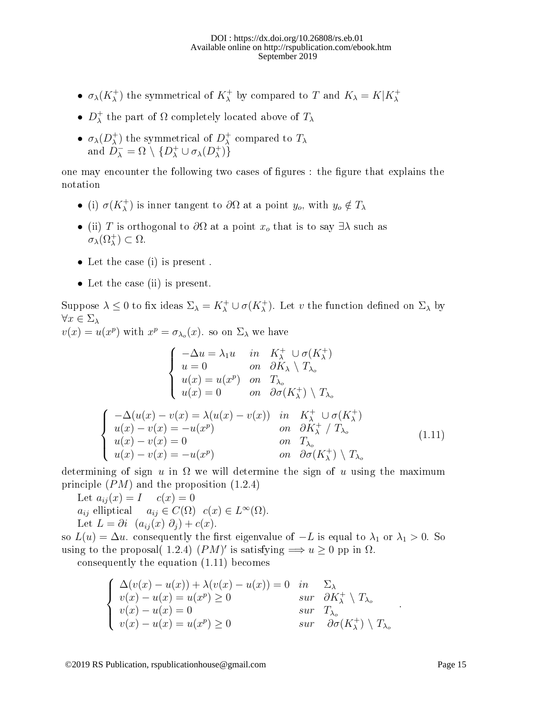#### DOI : https://dx.doi.org/10.26808/rs.eb.01 Available online on http://rspublication.com/ebook.htm September 2019

- $\sigma_{\lambda}(K_{\lambda}^{+})$  the symmetrical of  $K_{\lambda}^{+}$  by compared to T and  $K_{\lambda} = K|K_{\lambda}^{+}$
- $\bullet$   $D_{\lambda}^{+}$  $_{\lambda}^{+}$  the part of  $\Omega$  completely located above of  $T_{\lambda}$
- $\bullet$   $\sigma_{\lambda}(D_{\lambda}^{+})$ <sup>+</sup>) the symmetrical of  $D_{\lambda}^{+}$  $\lambda$  compared to  $T_{\lambda}$ and  $D_{\lambda}^{-} = \Omega \setminus \{D_{\lambda}^{+} \cup \sigma_{\lambda}(D_{\lambda}^{+})\}$  $\begin{pmatrix} + \ 1 \end{pmatrix}$

one may encounter the following two cases of figures : the figure that explains the notation

- (i)  $\sigma(K_{\lambda}^+)$  is inner tangent to  $\partial\Omega$  at a point  $y_o$ , with  $y_o \notin T_{\lambda}$
- (ii) T is orthogonal to  $\partial\Omega$  at a point  $x_o$  that is to say  $\exists\lambda$  such as  $\sigma_{\lambda}(\Omega_{\lambda}^{+}) \subset \Omega.$
- Let the case (i) is present .
- Let the case (ii) is present.

Suppose  $\lambda \leq 0$  to fix ideas  $\Sigma_{\lambda} = K_{\lambda}^+ \cup \sigma(K_{\lambda}^+)$ . Let v the function defined on  $\Sigma_{\lambda}$  by  $\forall x \in \Sigma_{\lambda}$ 

 $v(x) = u(x^p)$  with  $x^p = \sigma_{\lambda_o}(x)$ . so on  $\Sigma_{\lambda}$  we have

$$
\begin{cases}\n-\Delta u = \lambda_1 u & in & K_{\lambda}^{+} \cup \sigma(K_{\lambda}^{+}) \\
u = 0 & on & \partial K_{\lambda} \setminus T_{\lambda_o} \\
u(x) = u(x^p) & on & T_{\lambda_o} \\
u(x) = 0 & on & \partial \sigma(K_{\lambda}^{+}) \setminus T_{\lambda_o}\n\end{cases}
$$
\n
$$
\begin{cases}\n-\Delta(u(x) - v(x)) = \lambda(u(x) - v(x)) & in & K_{\lambda}^{+} \cup \sigma(K_{\lambda}^{+}) \\
u(x) - v(x) = -u(x^p) & on & \partial K_{\lambda}^{+} / T_{\lambda_o} \\
u(x) - v(x) = 0 & on & T_{\lambda_o} \\
u(x) - v(x) = -u(x^p) & on & \partial \sigma(K_{\lambda}^{+}) \setminus T_{\lambda_o}\n\end{cases}
$$
\n(1.11)

determining of sign u in  $\Omega$  we will determine the sign of u using the maximum principle  $(PM)$  and the proposition  $(1.2.4)$ 

Let  $a_{ij}(x) = I$   $c(x) = 0$  $a_{ij}$  elliptical  $a_{ij} \in C(\Omega)$   $c(x) \in L^{\infty}(\Omega)$ . Let  $L = \partial i \left( a_{ij}(x) \partial_j \right) + c(x)$ .

so  $L(u) = \Delta u$  consequently the first eigenvalue of  $-L$  is equal to  $\lambda_1$  or  $\lambda_1 > 0$ . So using to the proposal( 1.2.4)  $(PM)'$  is satisfying  $\Longrightarrow u \geq 0$  pp in  $\Omega$ . consequently the equation (1.11) becomes

$$
\begin{cases}\n\Delta(v(x) - u(x)) + \lambda(v(x) - u(x)) = 0 & \text{in} \quad \Sigma_{\lambda} \\
v(x) - u(x) = u(x^{p}) \ge 0 & \text{sur} \quad \partial K_{\lambda}^{+} \setminus T_{\lambda_{o}} \\
v(x) - u(x) = 0 & \text{sur} \quad T_{\lambda_{o}} \\
v(x) - u(x) = u(x^{p}) \ge 0 & \text{sur} \quad \partial \sigma(K_{\lambda}^{+}) \setminus T_{\lambda_{o}}\n\end{cases}
$$

©2019 RS Publication, rspublicationhouse@gmail.com Page 15

.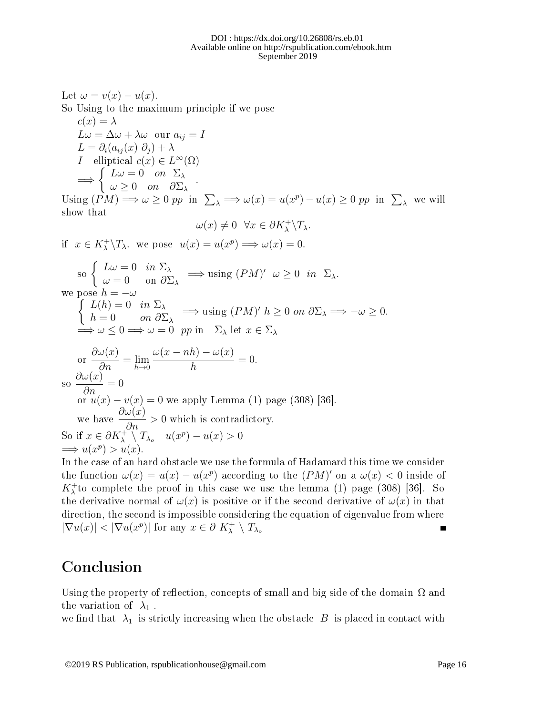Let  $\omega = v(x) - u(x)$ . So Using to the maximum principle if we pose  $c(x) = \lambda$  $L\omega = \Delta\omega + \lambda\omega$  our  $a_{ij} = I$  $L = \partial_i (a_{ij}(x) \partial_j) + \lambda$ *I* elliptical  $c(x) \in L^{\infty}(\Omega)$ =⇒  $\int L\omega = 0$  on  $\Sigma_{\lambda}$  $\omega \geq 0$  on  $\partial \Sigma_{\lambda}$  . Using  $(PM) \Longrightarrow \omega >$  $\lambda \Longrightarrow \omega(x) = u(x^p) - u(x) \ge 0$  pp in  $\sum_{\lambda}$  we will show that  $\omega(x) \neq 0 \ \ \forall x \in \partial K_{\lambda}^{+} \backslash T_{\lambda}.$ if  $x \in K_{\lambda}^{+} \backslash T_{\lambda}$  we pose  $u(x) = u(x^{p}) \Longrightarrow \omega(x) = 0$ . so  $\begin{cases} L\omega = 0 & \text{in } \Sigma_{\lambda} \\ \omega = 0 & \text{on } \partial \Sigma_{\lambda} \end{cases}$  $\omega = 0$  in  $\omega = 0$  on  $\partial \Sigma_{\lambda}$   $\implies$  using  $(PM)'$   $\omega \ge 0$  in  $\Sigma_{\lambda}$ . we pose  $\int$  $h = -\omega$  $L(h) = 0$  in  $\Sigma_{\lambda}$  $h = 0$  on  $\partial \Sigma_{\lambda} \implies \text{using } (PM)'$   $h \geq 0$  on  $\partial \Sigma_{\lambda} \implies -\omega \geq 0$ .  $\Rightarrow \omega \leq 0 \Rightarrow \omega = 0$  pp in  $\Sigma_{\lambda}$  let  $x \in \Sigma_{\lambda}$ or  $\partial \omega(x)$  $\frac{\partial}{\partial n}(\frac{w}{n}) = \lim_{h \to 0}$  $\omega(x - nh) - \omega(x)$ h  $= 0.$ 

so  $\partial \omega(x)$  $\frac{\partial}{\partial n}(\frac{a}{\partial n})=0$ or  $u(x) - v(x) = 0$  we apply Lemma (1) page (308) [36]. we have  $\frac{\partial \omega(x)}{\partial x}$  $rac{\infty}{2n} > 0$  which is contradictory. So if  $x \in \partial K_{\lambda}^+ \setminus T_{\lambda_o} \quad u(x^p) - u(x) > 0$  $\implies u(x^p) > u(x).$ 

In the case of an hard obstacle we use the formula of Hadamard this time we consider the function  $\omega(x) = u(x) - u(x^p)$  according to the  $(PM)'$  on a  $\omega(x) < 0$  inside of  $K^+_\lambda$  to complete the proof in this case we use the lemma (1) page (308) [36]. So the derivative normal of  $\omega(x)$  is positive or if the second derivative of  $\omega(x)$  in that direction, the second is impossible considering the equation of eigenvalue from where  $|\nabla u(x)| < |\nabla u(x^p)|$  for any  $x \in \partial K_\lambda^+ \setminus T_{\lambda_o}$ Г

## Conclusion

Using the property of reflection, concepts of small and big side of the domain  $\Omega$  and the variation of  $\lambda_1$ .

we find that  $\lambda_1$  is strictly increasing when the obstacle B is placed in contact with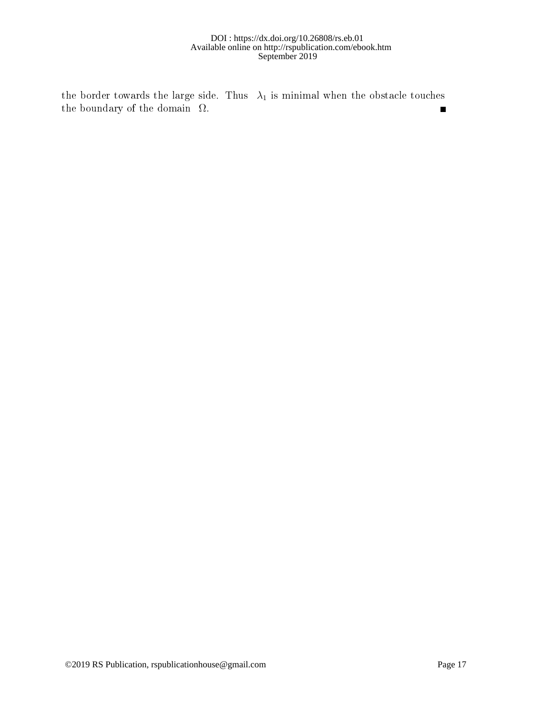#### $DOI$ : https://dx.doi.org/10.26808/rs.eb.01 Available online on http://rspublication.com/ebook.htm September 2019

the border towards the large side. Thus  $\lambda_1$  is minimal when the obstacle touches the boundary of the domain  $\Omega$ .  $\blacksquare$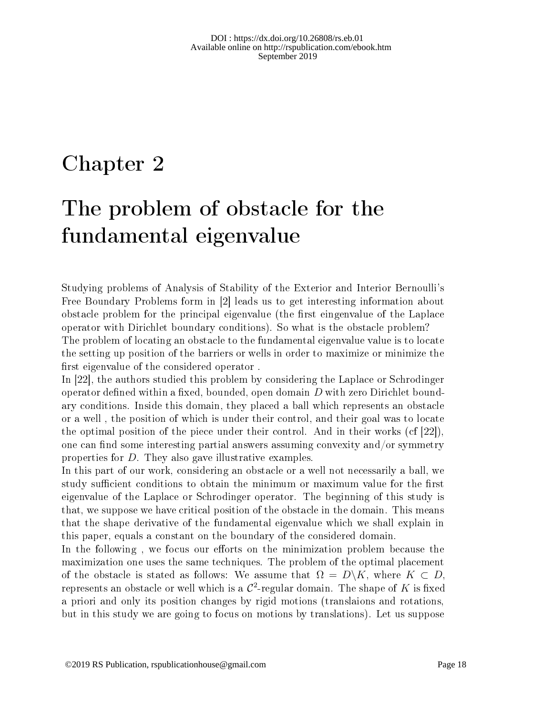## Chapter 2

# The problem of obstacle for the fundamental eigenvalue

Studying problems of Analysis of Stability of the Exterior and Interior Bernoulli's Free Boundary Problems form in [2] leads us to get interesting information about obstacle problem for the principal eigenvalue (the first eingenvalue of the Laplace operator with Dirichlet boundary conditions). So what is the obstacle problem? The problem of locating an obstacle to the fundamental eigenvalue value is to locate the setting up position of the barriers or wells in order to maximize or minimize the first eigenvalue of the considered operator.

In [22], the authors studied this problem by considering the Laplace or Schrodinger operator defined within a fixed, bounded, open domain  $D$  with zero Dirichlet boundary conditions. Inside this domain, they placed a ball which represents an obstacle or a well , the position of which is under their control, and their goal was to locate the optimal position of the piece under their control. And in their works (cf [22]), one can find some interesting partial answers assuming convexity and/or symmetry properties for D. They also gave illustrative examples.

In this part of our work, considering an obstacle or a well not necessarily a ball, we study sufficient conditions to obtain the minimum or maximum value for the first eigenvalue of the Laplace or Schrodinger operator. The beginning of this study is that, we suppose we have critical position of the obstacle in the domain. This means that the shape derivative of the fundamental eigenvalue which we shall explain in this paper, equals a constant on the boundary of the considered domain.

In the following, we focus our efforts on the minimization problem because the maximization one uses the same techniques. The problem of the optimal placement of the obstacle is stated as follows: We assume that  $\Omega = D\backslash K$ , where  $K \subset D$ , represents an obstacle or well which is a  $\mathcal{C}^2$ -regular domain. The shape of  $K$  is fixed a priori and only its position changes by rigid motions (translaions and rotations, but in this study we are going to focus on motions by translations). Let us suppose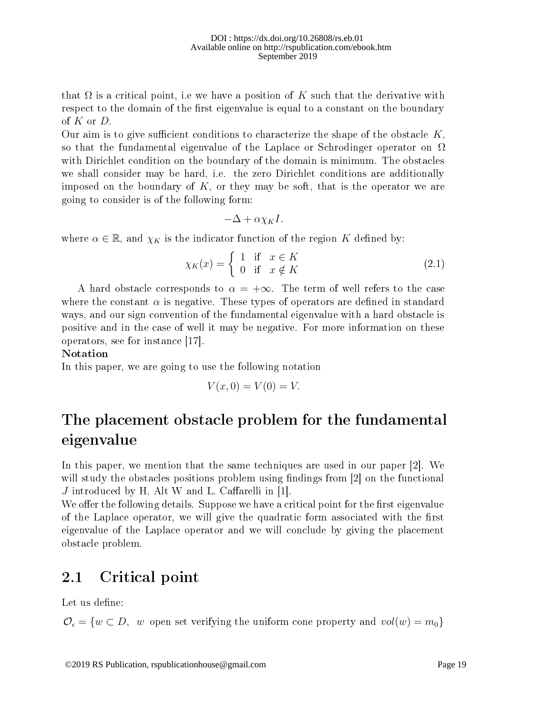that  $\Omega$  is a critical point, i.e we have a position of K such that the derivative with respect to the domain of the first eigenvalue is equal to a constant on the boundary of  $K$  or  $D$ .

Our aim is to give sufficient conditions to characterize the shape of the obstacle  $K$ , so that the fundamental eigenvalue of the Laplace or Schrodinger operator on  $\Omega$ with Dirichlet condition on the boundary of the domain is minimum. The obstacles we shall consider may be hard, i.e. the zero Dirichlet conditions are additionally imposed on the boundary of  $K$ , or they may be soft, that is the operator we are going to consider is of the following form:

$$
-\Delta + \alpha \chi_K I.
$$

where  $\alpha \in \mathbb{R}$ , and  $\chi_K$  is the indicator function of the region K defined by:

$$
\chi_K(x) = \begin{cases} 1 & \text{if } x \in K \\ 0 & \text{if } x \notin K \end{cases}
$$
 (2.1)

A hard obstacle corresponds to  $\alpha = +\infty$ . The term of well refers to the case where the constant  $\alpha$  is negative. These types of operators are defined in standard ways, and our sign convention of the fundamental eigenvalue with a hard obstacle is positive and in the case of well it may be negative. For more information on these operators, see for instance [17].

#### Notation

In this paper, we are going to use the following notation

$$
V(x,0) = V(0) = V.
$$

## The placement obstacle problem for the fundamental eigenvalue

In this paper, we mention that the same techniques are used in our paper [2]. We will study the obstacles positions problem using findings from  $[2]$  on the functional  $J$  introduced by H. Alt W and L. Caffarelli in [1].

We offer the following details. Suppose we have a critical point for the first eigenvalue of the Laplace operator, we will give the quadratic form associated with the first eigenvalue of the Laplace operator and we will conclude by giving the placement obstacle problem.

### 2.1 Critical point

Let us define:

 $\mathcal{O}_{\epsilon} = \{w \subset D, w \text{ open set verifying the uniform cone property and } vol(w) = m_0\}$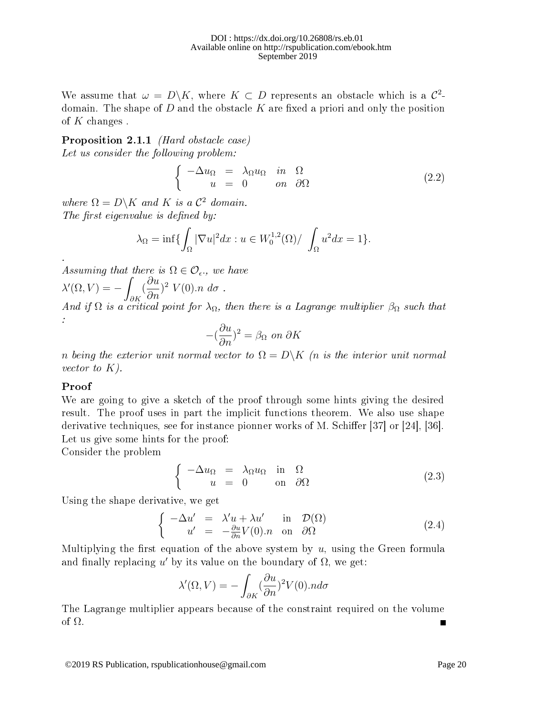We assume that  $\omega = D\backslash K$ , where  $K \subset D$  represents an obstacle which is a  $\mathcal{C}^2$ domain. The shape of  $D$  and the obstacle  $K$  are fixed a priori and only the position of  $K$  changes.

Proposition 2.1.1 *(Hard obstacle case)* 

Let us consider the following problem:

$$
\begin{cases}\n-\Delta u_{\Omega} = \lambda_{\Omega} u_{\Omega} & \text{in } \Omega \\
u = 0 & \text{on } \partial\Omega\n\end{cases}
$$
\n(2.2)

where  $\Omega = D\backslash K$  and K is a  $\mathcal{C}^2$  domain. The first eigenvalue is defined by:

$$
\lambda_{\Omega} = \inf \{ \int_{\Omega} |\nabla u|^2 dx : u \in W_0^{1,2}(\Omega) / \int_{\Omega} u^2 dx = 1 \}.
$$

Assuming that there is  $\Omega \in \mathcal{O}_{\epsilon}$ , we have

 $\lambda'(\Omega, V) = -$ ∂K ( ∂u  $\frac{\partial u}{\partial n}$ <sup>2</sup>  $V(0)$ .n d $\sigma$ .

And if  $\Omega$  is a critical point for  $\lambda_{\Omega}$ , then there is a Lagrange multiplier  $\beta_{\Omega}$  such that :

$$
-(\frac{\partial u}{\partial n})^2=\beta_\Omega \text{ on }\partial K
$$

n being the exterior unit normal vector to  $\Omega = D\backslash K$  (n is the interior unit normal vector to  $K$ ).

#### Proof

.

We are going to give a sketch of the proof through some hints giving the desired result. The proof uses in part the implicit functions theorem. We also use shape derivative techniques, see for instance pionner works of M. Schiffer  $[37]$  or  $[24]$ ,  $[36]$ . Let us give some hints for the proof:

Consider the problem

$$
\begin{cases}\n-\Delta u_{\Omega} = \lambda_{\Omega} u_{\Omega} & \text{in } \Omega \\
u = 0 & \text{on } \partial\Omega\n\end{cases}
$$
\n(2.3)

Using the shape derivative, we get

$$
\begin{cases}\n-\Delta u' &= \lambda' u + \lambda u' & \text{in } \mathcal{D}(\Omega) \\
u' &= -\frac{\partial u}{\partial n} V(0).n & \text{on } \partial\Omega\n\end{cases}
$$
\n(2.4)

Multiplying the first equation of the above system by  $u$ , using the Green formula and finally replacing  $u'$  by its value on the boundary of  $\Omega$ , we get:

$$
\lambda'(\Omega, V) = -\int_{\partial K} (\frac{\partial u}{\partial n})^2 V(0).n d\sigma
$$

The Lagrange multiplier appears because of the constraint required on the volume of Ω. Г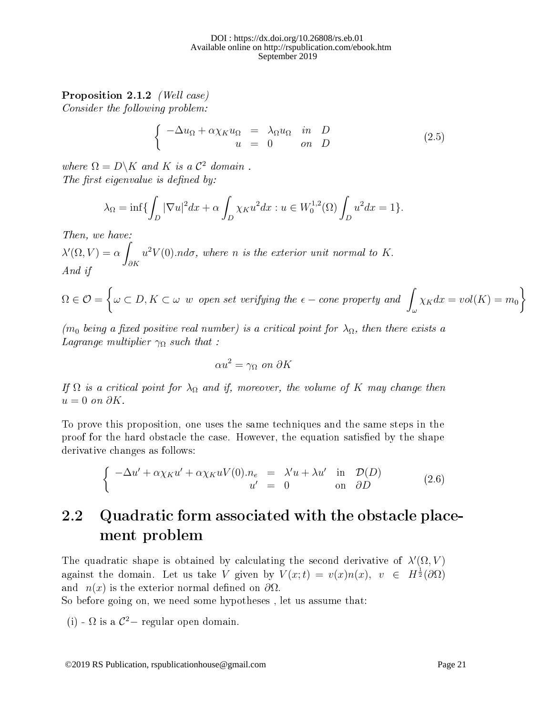### Proposition 2.1.2 (Well case)

Consider the following problem:

$$
\begin{cases}\n-\Delta u_{\Omega} + \alpha \chi_K u_{\Omega} &= \lambda_{\Omega} u_{\Omega} & \text{in} \quad D \\
u &= 0 & \text{on} \quad D\n\end{cases}
$$
\n(2.5)

where  $\Omega = D\backslash K$  and K is a  $\mathcal{C}^2$  domain. The first eigenvalue is defined by:

$$
\lambda_{\Omega} = \inf \{ \int_D |\nabla u|^2 dx + \alpha \int_D \chi_K u^2 dx : u \in W_0^{1,2}(\Omega) \int_D u^2 dx = 1 \}.
$$

Then, we have:

 $\lambda'(\Omega, V) = \alpha$ ∂K  $u^2V(0)$ .nd $\sigma$ , where n is the exterior unit normal to K. And if

$$
\Omega \in \mathcal{O} = \left\{ \omega \subset D, K \subset \omega \ \text{w open set verifying the } \epsilon-\text{cone property and } \int_{\omega} \chi_K dx = vol(K) = m_0 \right\}
$$

(m<sub>0</sub> being a fixed positive real number) is a critical point for  $\lambda_{\Omega}$ , then there exists a Lagrange multiplier  $\gamma_{\Omega}$  such that :

$$
\alpha u^2 = \gamma_\Omega \text{ on } \partial K
$$

If  $\Omega$  is a critical point for  $\lambda_{\Omega}$  and if, moreover, the volume of K may change then  $u = 0$  on  $\partial K$ .

To prove this proposition, one uses the same techniques and the same steps in the proof for the hard obstacle the case. However, the equation satisfied by the shape derivative changes as follows:

$$
\begin{cases}\n-\Delta u' + \alpha \chi_K u' + \alpha \chi_K u V(0). & n_e = \lambda' u + \lambda u' & \text{in } \mathcal{D}(D) \\
u' = 0 & \text{on } \partial D\n\end{cases}
$$
\n(2.6)

## 2.2 Quadratic form associated with the obstacle placement problem

The quadratic shape is obtained by calculating the second derivative of  $\lambda'(\Omega, V)$ against the domain. Let us take V given by  $V(x;t) = v(x)n(x)$ ,  $v \in H^{\frac{1}{2}}(\partial \Omega)$ and  $n(x)$  is the exterior normal defined on  $\partial\Omega$ .

So before going on, we need some hypotheses , let us assume that:

(i) -  $\Omega$  is a  $\mathcal{C}^2$  - regular open domain.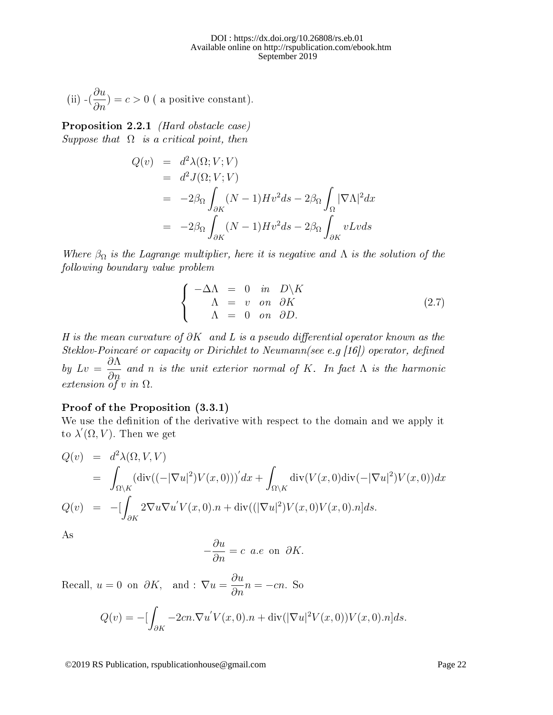(ii) 
$$
-(\frac{\partial u}{\partial n}) = c > 0
$$
 ( a positive constant).

Proposition 2.2.1 *(Hard obstacle case)* Suppose that  $\Omega$  is a critical point, then

$$
Q(v) = d^2 \lambda(\Omega; V; V)
$$
  
=  $d^2 J(\Omega; V; V)$   
=  $-2\beta_{\Omega} \int_{\partial K} (N-1)Hv^2 ds - 2\beta_{\Omega} \int_{\Omega} |\nabla \Lambda|^2 dx$   
=  $-2\beta_{\Omega} \int_{\partial K} (N-1)Hv^2 ds - 2\beta_{\Omega} \int_{\partial K} vLvds$ 

Where  $\beta_{\Omega}$  is the Lagrange multiplier, here it is negative and  $\Lambda$  is the solution of the following boundary value problem

$$
\begin{cases}\n-\Delta\Lambda = 0 & \text{in} \quad D\backslash K \\
\Lambda = v & \text{on} \quad \partial K \\
\Lambda = 0 & \text{on} \quad \partial D.\n\end{cases}
$$
\n(2.7)

H is the mean curvature of  $\partial K$  and L is a pseudo differential operator known as the Steklov-Poincaré or capacity or Dirichlet to Neumann(see e.g [16]) operator, defined by  $Lv =$ ∂Λ  $\frac{\partial H}{\partial n}$  and n is the unit exterior normal of K. In fact  $\Lambda$  is the harmonic extension of v in  $\Omega$ .

#### Proof of the Proposition (3.3.1)

We use the definition of the derivative with respect to the domain and we apply it to  $\lambda'(\Omega, V)$ . Then we get

$$
Q(v) = d^2 \lambda(\Omega, V, V)
$$
  
= 
$$
\int_{\Omega \backslash K} (\text{div}((-|\nabla u|^2)V(x, 0)))' dx + \int_{\Omega \backslash K} \text{div}(V(x, 0) \text{div}(-|\nabla u|^2)V(x, 0)) dx
$$
  

$$
Q(v) = -[\int_{\partial K} 2\nabla u \nabla u' V(x, 0) \cdot n + \text{div}((|\nabla u|^2)V(x, 0)V(x, 0) \cdot n] ds.
$$

As

$$
-\frac{\partial u}{\partial n} = c \ a.e \text{ on } \partial K.
$$

Recall,  $u = 0$  on  $\partial K$ , and :  $\nabla u = \frac{\partial u}{\partial n} n = -cn$ . So

$$
Q(v) = -\left[\int_{\partial K} -2cn \cdot \nabla u' V(x,0).n + \text{div}(|\nabla u|^2 V(x,0)) V(x,0).n\right] ds.
$$

©2019 RS Publication, rspublicationhouse@gmail.com Page 22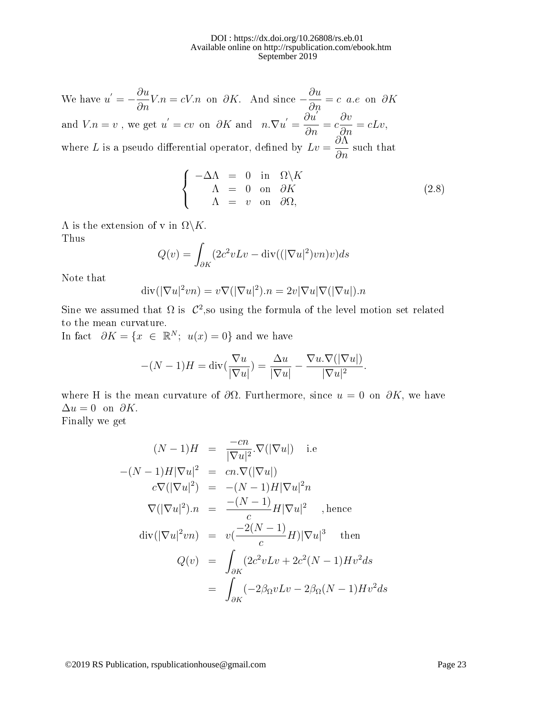We have  $u' = -\frac{\partial u}{\partial n}V.n = cV.n$  on  $\partial K$ . And since  $-\frac{\partial u}{\partial n}$  $\frac{\partial}{\partial n} = c$  a.e on  $\partial K$ and  $V.n = v$ , we get  $u' = cv$  on  $\partial K$  and  $n.\nabla u' =$  $\vec{\partial u'}$  $rac{\partial u}{\partial n} = c$ ∂v  $\frac{\partial v}{\partial n} = cLv,$ where L is a pseudo differential operator, defined by  $Lv =$ ∂Λ  $rac{\partial n}{\partial n}$  such that

$$
\begin{cases}\n-\Delta\Lambda = 0 & \text{in } \Omega \setminus K \\
\Lambda = 0 & \text{on } \partial K \\
\Lambda = v & \text{on } \partial \Omega,\n\end{cases}
$$
\n(2.8)

 $\Lambda$  is the extension of v in  $\Omega \backslash K$ . Thus

$$
Q(v) = \int_{\partial K} (2c^2vLv - \text{div}((|\nabla u|^2)vn)v)ds
$$

Note that

$$
\operatorname{div}(|\nabla u|^2 v n) = v \nabla(|\nabla u|^2) . n = 2v |\nabla u| \nabla(|\nabla u|) . n
$$

Sine we assumed that  $\Omega$  is  $\mathcal{C}^2$ , so using the formula of the level motion set related to the mean curvature.

In fact  $\partial K = \{x \in \mathbb{R}^N; u(x) = 0\}$  and we have

$$
-(N-1)H = \operatorname{div}(\frac{\nabla u}{|\nabla u|}) = \frac{\Delta u}{|\nabla u|} - \frac{\nabla u.\nabla(|\nabla u|)}{|\nabla u|^2}.
$$

where H is the mean curvature of  $\partial\Omega$ . Furthermore, since  $u = 0$  on  $\partial K$ , we have  $\Delta u = 0$  on  $\partial K$ .

Finally we get

$$
(N-1)H = \frac{-cn}{|\nabla u|^2} \cdot \nabla(|\nabla u|) \quad \text{i.e}
$$
  
\n
$$
-(N-1)H|\nabla u|^2 = cn \cdot \nabla(|\nabla u|)
$$
  
\n
$$
c\nabla(|\nabla u|^2) = -(N-1)H|\nabla u|^2n
$$
  
\n
$$
\nabla(|\nabla u|^2)n = \frac{-(N-1)}{c}H|\nabla u|^2 \quad \text{, hence}
$$
  
\n
$$
\text{div}(|\nabla u|^2vn) = v(\frac{-2(N-1)}{c}H)|\nabla u|^3 \quad \text{then}
$$
  
\n
$$
Q(v) = \int_{\partial K} (2c^2vLv + 2c^2(N-1)Hv^2ds
$$
  
\n
$$
= \int_{\partial K} (-2\beta_{\Omega}vLv - 2\beta_{\Omega}(N-1)Hv^2ds)
$$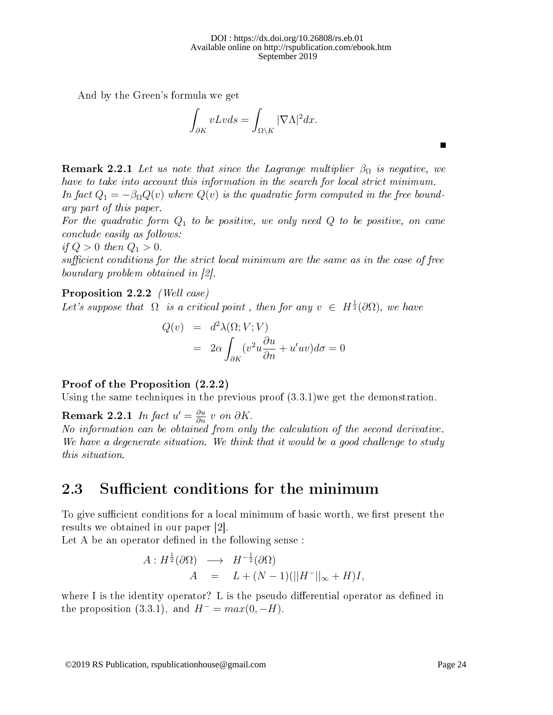And by the Green's formula we get

$$
\int_{\partial K} vLvds = \int_{\Omega\backslash K} |\nabla\Lambda|^2 dx.
$$

**Remark 2.2.1** Let us note that since the Lagrange multiplier  $\beta_{\Omega}$  is negative, we have to take into account this information in the search for local strict minimum. In fact  $Q_1 = -\beta_{\Omega} Q(v)$  where  $Q(v)$  is the quadratic form computed in the free boundary part of this paper.

For the quadratic form  $Q_1$  to be positive, we only need  $Q$  to be positive, on cane conclude easily as follows:

if  $Q > 0$  then  $Q_1 > 0$ .

 $sufficient conditions for the strict local minimum are the same as in the case of free$ boundary problem obtained in [2].

Proposition 2.2.2 (Well case)

Let's suppose that  $\Omega$  is a critical point, then for any  $v \in H^{\frac{1}{2}}(\partial \Omega)$ , we have

$$
Q(v) = d^2 \lambda(\Omega; V; V)
$$
  
=  $2\alpha \int_{\partial K} (v^2 u \frac{\partial u}{\partial n} + u' uv) d\sigma = 0$ 

#### Proof of the Proposition (2.2.2)

Using the same techniques in the previous proof (3.3.1)we get the demonstration.

**Remark 2.2.1** In fact  $u' = \frac{\partial u}{\partial n} v$  on  $\partial K$ .

No information can be obtained from only the calculation of the second derivative. We have a degenerate situation. We think that it would be a good challenge to study this situation.

### 2.3 Sufficient conditions for the minimum

To give sufficient conditions for a local minimum of basic worth, we first present the results we obtained in our paper [2].

Let A be an operator defined in the following sense:

$$
A: H^{\frac{1}{2}}(\partial \Omega) \longrightarrow H^{-\frac{1}{2}}(\partial \Omega)
$$
  
\n
$$
A = L + (N-1)(||H^{-}||_{\infty} + H)I,
$$

where I is the identity operator? L is the pseudo differential operator as defined in the proposition (3.3.1), and  $H^- = max(0, -H)$ .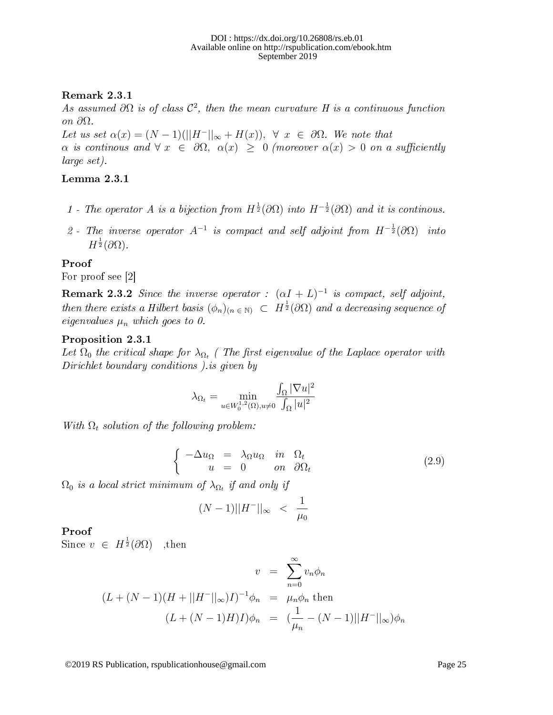### Remark 2.3.1

As assumed  $\partial\Omega$  is of class  $\mathcal{C}^2$ , then the mean curvature H is a continuous function on ∂Ω.

Let us set  $\alpha(x) = (N-1)(||H^{-}||_{\infty} + H(x)), \forall x \in \partial\Omega$ . We note that  $\alpha$  is continous and  $\forall x \in \partial \Omega$ ,  $\alpha(x) \geq 0$  (moreover  $\alpha(x) > 0$  on a sufficiently large set).

### Lemma 2.3.1

- 1 The operator A is a bijection from  $H^{\frac{1}{2}}(\partial\Omega)$  into  $H^{-\frac{1}{2}}(\partial\Omega)$  and it is continous.
- 2 The inverse operator  $A^{-1}$  is compact and self adjoint from  $H^{-\frac{1}{2}}(\partial \Omega)$  into  $H^{\frac{1}{2}}(\partial\Omega).$

### Proof

For proof see [2]

**Remark 2.3.2** Since the inverse operator :  $(\alpha I + L)^{-1}$  is compact, self adjoint, then there exists a Hilbert basis  $(\phi_n)_{(n \in \mathbb{N})} \subset H^{\frac{1}{2}}(\partial \Omega)$  and a decreasing sequence of eigenvalues  $\mu_n$  which goes to 0.

### Proposition 2.3.1

Let  $\Omega_0$  the critical shape for  $\lambda_{\Omega_t}$  (The first eigenvalue of the Laplace operator with Dirichlet boundary conditions ).is given by

$$
\lambda_{\Omega_t} = \min_{u \in W_0^{1,2}(\Omega), u \neq 0} \frac{\int_{\Omega} |\nabla u|^2}{\int_{\Omega} |u|^2}
$$

With  $\Omega_t$  solution of the following problem:

$$
\begin{cases}\n-\Delta u_{\Omega} = \lambda_{\Omega} u_{\Omega} & \text{in } \Omega_t \\
u = 0 & \text{on } \partial \Omega_t\n\end{cases}
$$
\n(2.9)

 $\Omega_0$  is a local strict minimum of  $\lambda_{\Omega_t}$  if and only if

$$
(N-1)||H^{-}||_{\infty} \ < \ \frac{1}{\mu_0}
$$

### Proof

Since  $v \in H^{\frac{1}{2}}(\partial \Omega)$  , then

$$
v = \sum_{n=0}^{\infty} v_n \phi_n
$$
  

$$
(L + (N-1)(H + ||H^{-}||_{\infty})I)^{-1} \phi_n = \mu_n \phi_n
$$
 then  

$$
(L + (N-1)H)I)\phi_n = (\frac{1}{\mu_n} - (N-1)||H^{-}||_{\infty})\phi_n
$$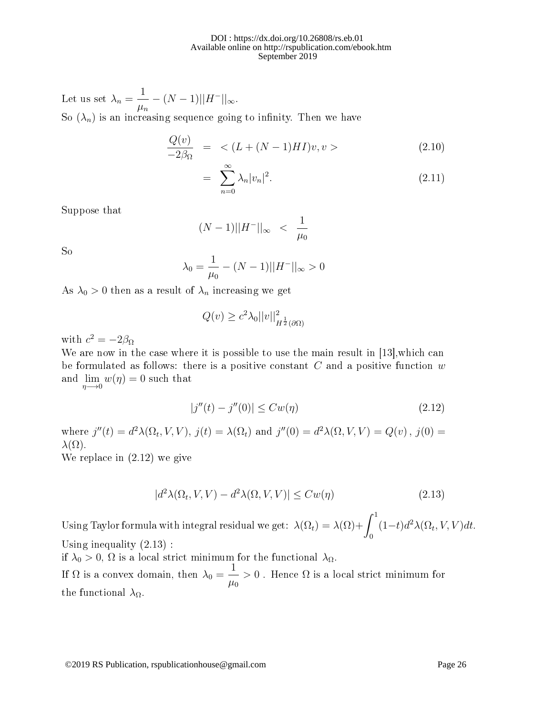Let us set  $\lambda_n =$ 1  $\mu_n$  $-(N-1)||H^{-}||_{\infty}$ . So  $(\lambda_n)$  is an increasing sequence going to infinity. Then we have

$$
\frac{Q(v)}{-2\beta_{\Omega}} = \langle (L + (N-1)HI)v, v \rangle \tag{2.10}
$$

$$
= \sum_{n=0}^{\infty} \lambda_n |v_n|^2. \tag{2.11}
$$

Suppose that

$$
(N-1)||H^{-}||_{\infty} \ < \ \frac{1}{\mu_0}
$$

So

$$
\lambda_0 = \frac{1}{\mu_0} - (N - 1) ||H^{-}||_{\infty} > 0
$$

As  $\lambda_0 > 0$  then as a result of  $\lambda_n$  increasing we get

$$
Q(v) \ge c^2 \lambda_0 ||v||^2_{H^{\frac{1}{2}}(\partial \Omega)}
$$

with  $c^2 = -2\beta_\Omega$ 

We are now in the case where it is possible to use the main result in [13], which can be formulated as follows: there is a positive constant  $C$  and a positive function  $w$ and  $\lim_{\eta \to 0} w(\eta) = 0$  such that

$$
|j''(t) - j''(0)| \le Cw(\eta)
$$
\n(2.12)

where  $j''(t) = d^2\lambda(\Omega_t, V, V), j(t) = \lambda(\Omega_t)$  and  $j''(0) = d^2\lambda(\Omega, V, V) = Q(v), j(0) =$  $\lambda(\Omega)$ .

We replace in (2.12) we give

$$
|d^2\lambda(\Omega_t, V, V) - d^2\lambda(\Omega, V, V)| \le C w(\eta)
$$
\n(2.13)

Using Taylor formula with integral residual we get:  $\lambda(\Omega_t) = \lambda(\Omega) + \int^1$ 0  $(1-t)d^2\lambda(\Omega_t, V, V)dt$ . Using inequality (2.13) :

if  $\lambda_0 > 0$ ,  $\Omega$  is a local strict minimum for the functional  $\lambda_{\Omega}$ .

If  $\Omega$  is a convex domain, then  $\lambda_0 =$ 1  $\mu_0$  $> 0$  . Hence  $\Omega$  is a local strict minimum for the functional  $\lambda_{\Omega}$ .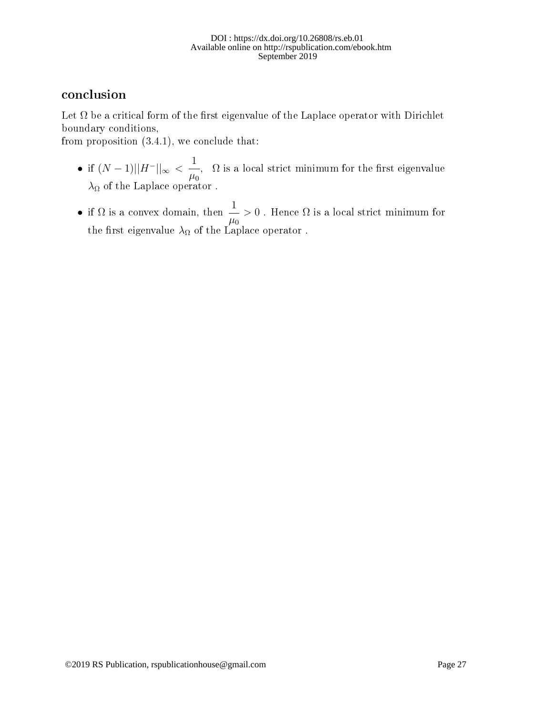#### DOI : https://dx.doi.org/10.26808/rs.eb.01 Available online on http://rspublication.com/ebook.htm September 2019

### conclusion

Let  $\Omega$  be a critical form of the first eigenvalue of the Laplace operator with Dirichlet boundary conditions,

from proposition (3.4.1), we conclude that:

- if  $(N-1)||H^-||_{\infty} < \frac{1}{N}$  $\mu_0$ ,  $\Omega$  is a local strict minimum for the first eigenvalue  $\lambda_\Omega$  of the Laplace operator .
- if  $\Omega$  is a convex domain, then  $\frac{1}{\sqrt{1-\varepsilon}}$  $\mu_0$  $> 0$ . Hence  $\Omega$  is a local strict minimum for the first eigenvalue  $\lambda_\Omega$  of the Laplace operator .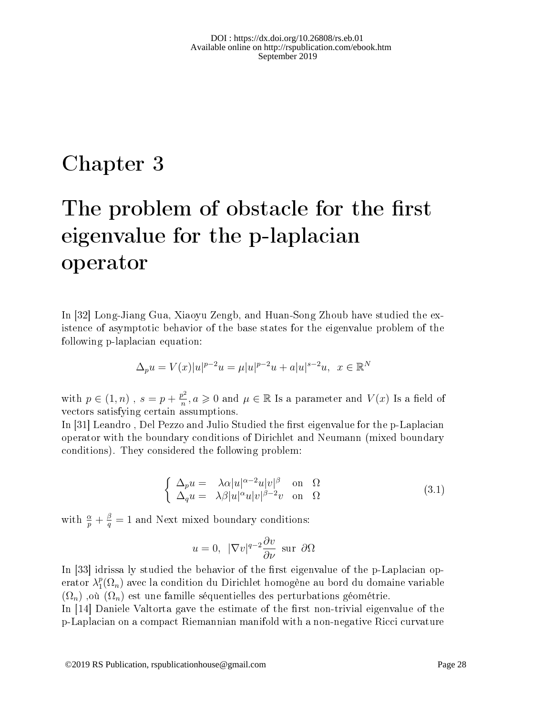## Chapter 3

# The problem of obstacle for the first eigenvalue for the p-laplacian operator

In [32] Long-Jiang Gua, Xiaoyu Zengb, and Huan-Song Zhoub have studied the existence of asymptotic behavior of the base states for the eigenvalue problem of the following p-laplacian equation:

$$
\Delta_p u = V(x)|u|^{p-2}u = \mu |u|^{p-2}u + a|u|^{s-2}u, \ \ x \in \mathbb{R}^N
$$

with  $p \in (1, n)$ ,  $s = p + \frac{p^2}{n}$  $\frac{\partial^2 p^2}{\partial n^2}$ ,  $a \geqslant 0$  and  $\mu \in \mathbb{R}$  Is a parameter and  $V(x)$  Is a field of vectors satisfying certain assumptions.

In [31] Leandro, Del Pezzo and Julio Studied the first eigenvalue for the p-Laplacian operator with the boundary conditions of Dirichlet and Neumann (mixed boundary conditions). They considered the following problem:

$$
\begin{cases}\n\Delta_p u = \lambda \alpha |u|^{\alpha - 2} u |v|^{\beta} \quad \text{on} \quad \Omega \\
\Delta_q u = \lambda \beta |u|^{\alpha} u |v|^{\beta - 2} v \quad \text{on} \quad \Omega\n\end{cases} (3.1)
$$

with  $\frac{\alpha}{p} + \frac{\beta}{q}$  $\frac{\beta}{q} = 1$  and Next mixed boundary conditions:

$$
u = 0
$$
,  $|\nabla v|^{q-2} \frac{\partial v}{\partial \nu}$  sur  $\partial \Omega$ 

In  $|33|$  idrissa ly studied the behavior of the first eigenvalue of the p-Laplacian operator  $\lambda_1^p$  $_{1}^{p}(\Omega_{n})$  avec la condition du Dirichlet homogène au bord du domaine variable  $(\Omega_n)$ , où  $(\Omega_n)$  est une famille séquentielles des perturbations géométrie.

In  $[14]$  Daniele Valtorta gave the estimate of the first non-trivial eigenvalue of the p-Laplacian on a compact Riemannian manifold with a non-negative Ricci curvature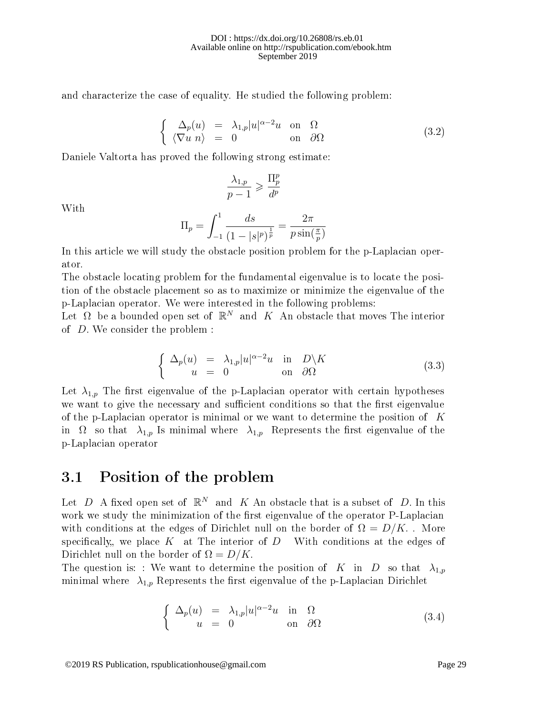and characterize the case of equality. He studied the following problem:

$$
\begin{cases}\n\Delta_p(u) = \lambda_{1,p} |u|^{\alpha - 2} u \text{ on } \Omega \\
\langle \nabla u \, n \rangle = 0 \text{ on } \partial \Omega\n\end{cases}
$$
\n(3.2)

Daniele Valtorta has proved the following strong estimate:

$$
\frac{\lambda_{1,p}}{p-1}\geqslant \frac{\Pi^p_p}{d^p}
$$

With

$$
\Pi_p = \int_{-1}^{1} \frac{ds}{(1 - |s|^p)^{\frac{1}{p}}} = \frac{2\pi}{p \sin(\frac{\pi}{p})}
$$

In this article we will study the obstacle position problem for the p-Laplacian operator.

The obstacle locating problem for the fundamental eigenvalue is to locate the position of the obstacle placement so as to maximize or minimize the eigenvalue of the p-Laplacian operator. We were interested in the following problems:

Let  $\Omega$  be a bounded open set of  $\mathbb{R}^N$  and  $K$  An obstacle that moves The interior of D. We consider the problem :

$$
\begin{cases}\n\Delta_p(u) = \lambda_{1,p}|u|^{\alpha-2}u & \text{in} \quad D\backslash K \\
u = 0 & \text{on} \quad \partial\Omega\n\end{cases}
$$
\n(3.3)

Let  $\lambda_{1,p}$  The first eigenvalue of the p-Laplacian operator with certain hypotheses we want to give the necessary and sufficient conditions so that the first eigenvalue of the p-Laplacian operator is minimal or we want to determine the position of  $K$ in  $\Omega$  so that  $\lambda_{1,p}$  Is minimal where  $\lambda_{1,p}$  Represents the first eigenvalue of the p-Laplacian operator

### 3.1 Position of the problem

Let D A fixed open set of  $\mathbb{R}^N$  and K An obstacle that is a subset of D. In this work we study the minimization of the first eigenvalue of the operator P-Laplacian with conditions at the edges of Dirichlet null on the border of  $\Omega = D/K$ . More specifically, we place K at The interior of D With conditions at the edges of Dirichlet null on the border of  $\Omega = D/K$ .

The question is: : We want to determine the position of K in D so that  $\lambda_{1,p}$ minimal where  $\lambda_{1,p}$  Represents the first eigenvalue of the p-Laplacian Dirichlet

$$
\begin{cases}\n\Delta_p(u) = \lambda_{1,p}|u|^{\alpha-2}u & \text{in} \quad \Omega \\
u = 0 & \text{on} \quad \partial\Omega\n\end{cases}
$$
\n(3.4)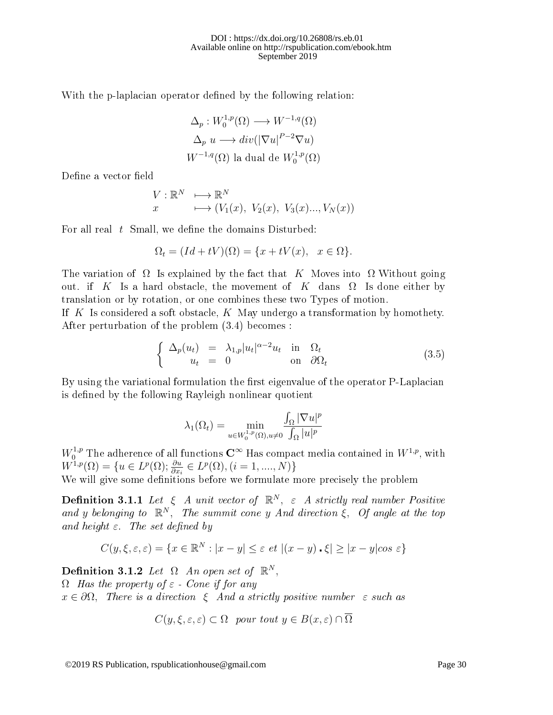With the p-laplacian operator defined by the following relation:

$$
\Delta_p: W_0^{1,p}(\Omega) \longrightarrow W^{-1,q}(\Omega)
$$
  

$$
\Delta_p u \longrightarrow div(|\nabla u|^{P-2} \nabla u)
$$
  

$$
W^{-1,q}(\Omega)
$$
 la dual de  $W_0^{1,p}(\Omega)$ 

Define a vector field

$$
V: \mathbb{R}^N \longrightarrow \mathbb{R}^N
$$
  
 $x \longrightarrow (V_1(x), V_2(x), V_3(x), V_3(x), V_N(x))$ 

For all real  $t$  Small, we define the domains Disturbed:

$$
\Omega_t = (Id + tV)(\Omega) = \{x + tV(x), \quad x \in \Omega\}.
$$

The variation of  $\Omega$  Is explained by the fact that K Moves into  $\Omega$  Without going out. if K Is a hard obstacle, the movement of K dans  $\Omega$  Is done either by translation or by rotation, or one combines these two Types of motion.

If  $K$  Is considered a soft obstacle,  $K$  May undergo a transformation by homothety. After perturbation of the problem (3.4) becomes :

$$
\begin{cases}\n\Delta_p(u_t) = \lambda_{1,p} |u_t|^{\alpha - 2} u_t & \text{in } \Omega_t \\
u_t = 0 & \text{on } \partial \Omega_t\n\end{cases}
$$
\n(3.5)

By using the variational formulation the first eigenvalue of the operator P-Laplacian is defined by the following Rayleigh nonlinear quotient

$$
\lambda_1(\Omega_t) = \min_{u \in W_0^{1,p}(\Omega), u \neq 0} \frac{\int_{\Omega} |\nabla u|^p}{\int_{\Omega} |u|^p}
$$

 $W_0^{1,p}$  The adherence of all functions  $\hbox{\bf C}^\infty$  Has compact media contained in  $W^{1,p},$  with  $W^{1,p}(\Omega) = \{u \in L^p(\Omega); \frac{\partial u}{\partial x_i} \in L^p(\Omega), (i = 1, ..., N)\}\$ We will give some definitions before we formulate more precisely the problem

**Definition 3.1.1** Let  $\xi$  A unit vector of  $\mathbb{R}^N$ ,  $\varepsilon$  A strictly real number Positive and y belonging to  $\mathbb{R}^N$ , The summit cone y And direction  $\xi$ , Of angle at the top and height  $\varepsilon$ . The set defined by

$$
C(y,\xi,\varepsilon,\varepsilon) = \{ x \in \mathbb{R}^N : |x - y| \le \varepsilon \text{ et } |(x - y) \cdot \xi| \ge |x - y|\cos \varepsilon \}
$$

Definition 3.1.2 Let  $\Omega$  An open set of  $\mathbb{R}^N$ ,

 $\Omega$  Has the property of  $\varepsilon$  - Cone if for any  $x \in \partial\Omega$ , There is a direction  $\xi$  And a strictly positive number  $\varepsilon$  such as

$$
C(y, \xi, \varepsilon, \varepsilon) \subset \Omega
$$
 pour tout  $y \in B(x, \varepsilon) \cap \overline{\Omega}$ 

©2019 RS Publication, rspublicationhouse@gmail.com Page 30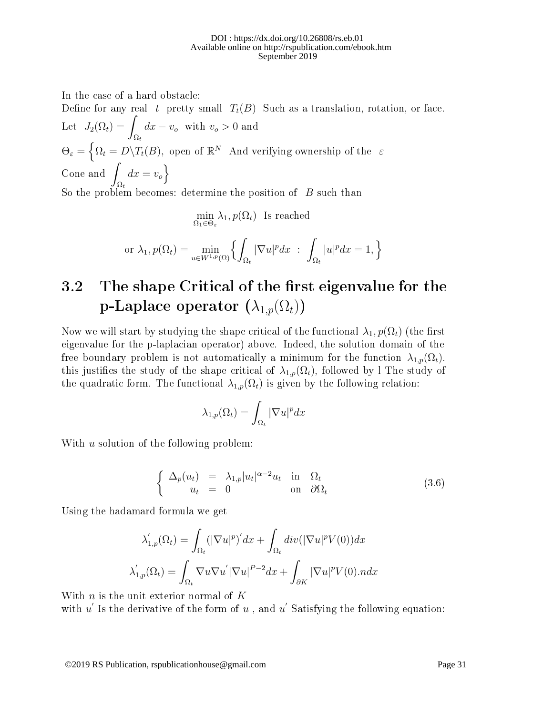In the case of a hard obstacle:

Define for any real t pretty small  $T_t(B)$  Such as a translation, rotation, or face. Let  $J_2(\Omega_t) =$  $\Omega_t$  $dx - v_o$  with  $v_o > 0$  and  $\Theta_{\varepsilon} = \left\{ \Omega_t = D \backslash T_t(B), \right. \text{ open of } \mathbb{R}^N \text{ and verifying ownership of the } \varepsilon$ Cone and  $\int$  $\Omega_t$  $dx = v_o$ So the problem becomes: determine the position of  $B$  such than

$$
\min_{\Omega_1 \in \Theta_{\varepsilon}} \lambda_1, p(\Omega_t)
$$
 Is reached

or 
$$
\lambda_1
$$
,  $p(\Omega_t) = \min_{u \in W^{1,p}(\Omega)} \left\{ \int_{\Omega_t} |\nabla u|^p dx \ : \ \int_{\Omega_t} |u|^p dx = 1, \right\}$ 

## 3.2 The shape Critical of the first eigenvalue for the p-Laplace operator  $(\lambda_{1,p}(\Omega_t))$

Now we will start by studying the shape critical of the functional  $\lambda_1, p(\Omega_t)$  (the first eigenvalue for the p-laplacian operator) above. Indeed, the solution domain of the free boundary problem is not automatically a minimum for the function  $\lambda_{1,p}(\Omega_t)$ . this justifies the study of the shape critical of  $\lambda_{1,p}(\Omega_t)$ , followed by l The study of the quadratic form. The functional  $\lambda_{1,p}(\Omega_t)$  is given by the following relation:

$$
\lambda_{1,p}(\Omega_t) = \int_{\Omega_t} |\nabla u|^p dx
$$

With u solution of the following problem:

$$
\begin{cases}\n\Delta_p(u_t) = \lambda_{1,p} |u_t|^{\alpha - 2} u_t & \text{in } \Omega_t \\
u_t = 0 & \text{on } \partial \Omega_t\n\end{cases}
$$
\n(3.6)

Using the hadamard formula we get

$$
\lambda'_{1,p}(\Omega_t) = \int_{\Omega_t} (|\nabla u|^p)' dx + \int_{\Omega_t} div(|\nabla u|^p V(0)) dx
$$

$$
\lambda'_{1,p}(\Omega_t) = \int_{\Omega_t} \nabla u \nabla u' |\nabla u|^{p-2} dx + \int_{\partial K} |\nabla u|^p V(0) . n dx
$$

With  $n$  is the unit exterior normal of  $K$ with  $u'$  Is the derivative of the form of  $u$  , and  $u'$  Satisfying the following equation: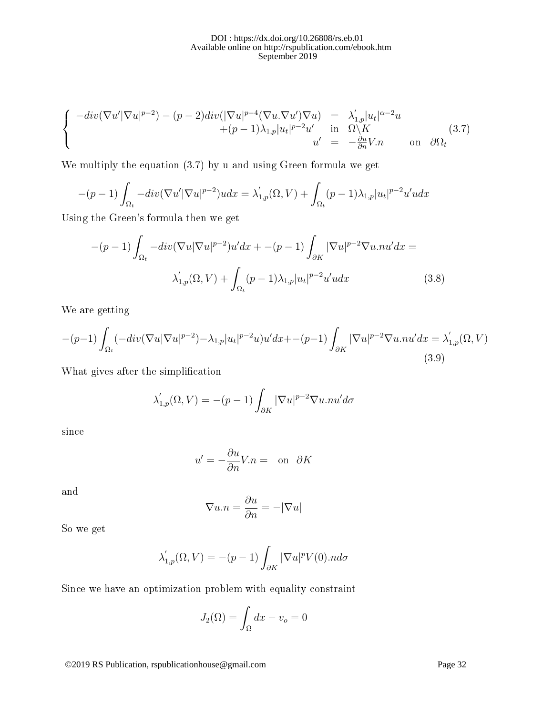$$
\begin{cases}\n-\operatorname{div}(\nabla u'|\nabla u|^{p-2}) - (p-2)\operatorname{div}(|\nabla u|^{p-4}(\nabla u \cdot \nabla u')\nabla u) &= \lambda'_{1,p}|u_t|^{\alpha-2}u \\
+ (p-1)\lambda_{1,p}|u_t|^{p-2}u' & \text{in} \quad \Omega \backslash K \\
u' &= -\frac{\partial u}{\partial n}V.n & \text{on} \quad \partial\Omega_t\n\end{cases}\n\tag{3.7}
$$

We multiply the equation (3.7) by u and using Green formula we get

$$
-(p-1)\int_{\Omega_t} -div(\nabla u'|\nabla u|^{p-2})u dx = \lambda'_{1,p}(\Omega, V) + \int_{\Omega_t} (p-1)\lambda_{1,p}|u_t|^{p-2}u' u dx
$$

Using the Green's formula then we get

$$
-(p-1)\int_{\Omega_t} -div(\nabla u|\nabla u|^{p-2})u'dx + -(p-1)\int_{\partial K} |\nabla u|^{p-2}\nabla u.nu'dx =
$$

$$
\lambda'_{1,p}(\Omega, V) + \int_{\Omega_t} (p-1)\lambda_{1,p}|u_t|^{p-2}u'udx \qquad (3.8)
$$

We are getting

$$
-(p-1)\int_{\Omega_t} (-div(\nabla u|\nabla u|^{p-2}) - \lambda_{1,p}|u_t|^{p-2}u)u'dx + -(p-1)\int_{\partial K} |\nabla u|^{p-2}\nabla u.nu'dx = \lambda'_{1,p}(\Omega, V) \tag{3.9}
$$

What gives after the simplification

$$
\lambda'_{1,p}(\Omega, V) = -(p-1) \int_{\partial K} |\nabla u|^{p-2} \nabla u . nu' d\sigma
$$

since

$$
u' = -\frac{\partial u}{\partial n}V.n = \text{on } \partial K
$$

and

$$
\nabla u.n = \frac{\partial u}{\partial n} = -|\nabla u|
$$

So we get

$$
\lambda'_{1,p}(\Omega, V) = -(p-1) \int_{\partial K} |\nabla u|^p V(0).n d\sigma
$$

Since we have an optimization problem with equality constraint

$$
J_2(\Omega) = \int_{\Omega} dx - v_o = 0
$$

©2019 RS Publication, rspublicationhouse@gmail.com Page 32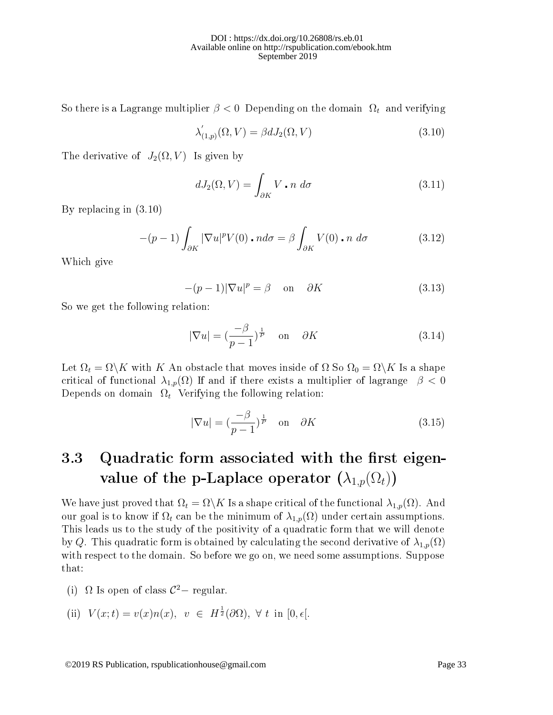So there is a Lagrange multiplier  $\beta < 0$  Depending on the domain  $\Omega_t$  and verifying

$$
\lambda'_{(1,p)}(\Omega, V) = \beta dJ_2(\Omega, V) \tag{3.10}
$$

The derivative of  $J_2(\Omega, V)$  Is given by

$$
dJ_2(\Omega, V) = \int_{\partial K} V \cdot n \, d\sigma \tag{3.11}
$$

By replacing in (3.10)

$$
-(p-1)\int_{\partial K} |\nabla u|^p V(0) \cdot n d\sigma = \beta \int_{\partial K} V(0) \cdot n d\sigma \qquad (3.12)
$$

Which give

$$
-(p-1)|\nabla u|^p = \beta \quad \text{on} \quad \partial K \tag{3.13}
$$

So we get the following relation:

$$
|\nabla u| = \left(\frac{-\beta}{p-1}\right)^{\frac{1}{p}} \quad \text{on} \quad \partial K \tag{3.14}
$$

Let  $\Omega_t = \Omega \backslash K$  with K An obstacle that moves inside of  $\Omega$  So  $\Omega_0 = \Omega \backslash K$  Is a shape critical of functional  $\lambda_{1,p}(\Omega)$  If and if there exists a multiplier of lagrange  $\beta < 0$ Depends on domain  $\Omega_t$  Verifying the following relation:

$$
|\nabla u| = \left(\frac{-\beta}{p-1}\right)^{\frac{1}{p}} \quad \text{on} \quad \partial K \tag{3.15}
$$

## 3.3 Quadratic form associated with the first eigenvalue of the p-Laplace operator  $(\lambda_{1,p}(\Omega_t))$

We have just proved that  $\Omega_t = \Omega \backslash K$  Is a shape critical of the functional  $\lambda_{1,p}(\Omega)$ . And our goal is to know if  $\Omega_t$  can be the minimum of  $\lambda_{1,p}(\Omega)$  under certain assumptions. This leads us to the study of the positivity of a quadratic form that we will denote by Q. This quadratic form is obtained by calculating the second derivative of  $\lambda_{1,p}(\Omega)$ with respect to the domain. So before we go on, we need some assumptions. Suppose that:

(i)  $\Omega$  Is open of class  $C^2$  – regular.

(ii) 
$$
V(x;t) = v(x)n(x), v \in H^{\frac{1}{2}}(\partial\Omega), \forall t \text{ in } [0, \epsilon].
$$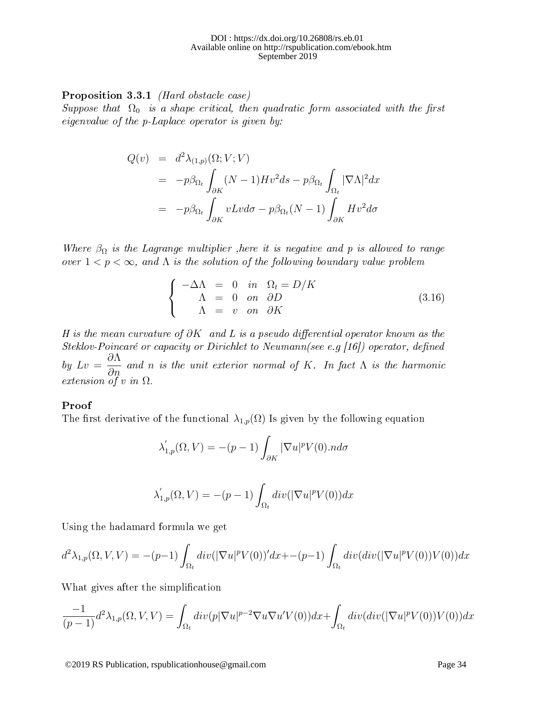Proposition 3.3.1 (Hard obstacle case)

Suppose that  $\Omega_0$  is a shape critical, then quadratic form associated with the first eigenvalue of the p-Laplace operator is given by:

$$
Q(v) = d^2 \lambda_{(1,p)}(\Omega; V; V)
$$
  
=  $-p\beta_{\Omega_t} \int_{\partial K} (N-1)Hv^2 ds - p\beta_{\Omega_t} \int_{\Omega_t} |\nabla \Lambda|^2 dx$   
=  $-p\beta_{\Omega_t} \int_{\partial K} vLv d\sigma - p\beta_{\Omega_t} (N-1) \int_{\partial K} Hv^2 d\sigma$ 

Where  $\beta_{\Omega}$  is the Lagrange multiplier , here it is negative and p is allowed to range over  $1 < p < \infty$ , and  $\Lambda$  is the solution of the following boundary value problem

$$
\begin{cases}\n-\Delta\Lambda = 0 & \text{in } \Omega_t = D/K \\
\Lambda = 0 & \text{on } \partial D \\
\Lambda = v & \text{on } \partial K\n\end{cases}
$$
\n(3.16)

H is the mean curvature of  $\partial K$  and L is a pseudo differential operator known as the Steklov-Poincaré or capacity or Dirichlet to Neumann(see e.g [16]) operator, defined by  $Lv =$ ∂Λ  $\frac{\partial H}{\partial n}$  and n is the unit exterior normal of K. In fact  $\Lambda$  is the harmonic extension of v in  $\Omega$ .

#### Proof

The first derivative of the functional  $\lambda_{1,p}(\Omega)$  Is given by the following equation

$$
\lambda'_{1,p}(\Omega, V) = -(p-1) \int_{\partial K} |\nabla u|^p V(0).n d\sigma
$$

$$
\lambda'_{1,p}(\Omega, V) = -(p-1) \int_{\Omega_t} div(|\nabla u|^p V(0)) dx
$$

Using the hadamard formula we get

$$
d^2\lambda_{1,p}(\Omega,V,V) = -(p-1)\int_{\Omega_t} div(|\nabla u|^p V(0))' dx + -(p-1)\int_{\Omega_t} div(div(|\nabla u|^p V(0))V(0)) dx
$$

What gives after the simplification

$$
\frac{-1}{(p-1)}d^2\lambda_{1,p}(\Omega,V,V) = \int_{\Omega_t} div(p|\nabla u|^{p-2}\nabla u\nabla u'V(0))dx + \int_{\Omega_t} div(div(|\nabla u|^pV(0))V(0))dx
$$

©2019 RS Publication, rspublicationhouse@gmail.com Page 34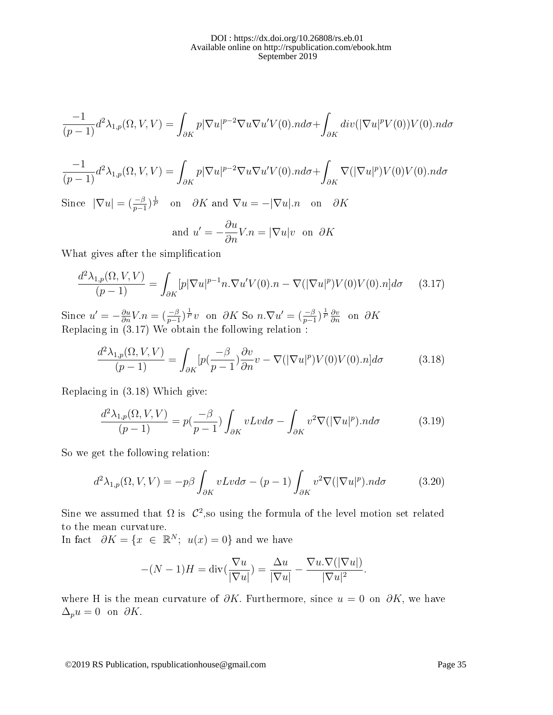$$
\frac{-1}{(p-1)}d^2\lambda_{1,p}(\Omega,V,V)=\int_{\partial K}p|\nabla u|^{p-2}\nabla u\nabla u'V(0).nd\sigma+\int_{\partial K}div(|\nabla u|^pV(0))V(0).nd\sigma
$$

$$
\frac{-1}{(p-1)}d^2\lambda_{1,p}(\Omega,V,V) = \int_{\partial K} p|\nabla u|^{p-2}\nabla u\nabla u'V(0).n d\sigma + \int_{\partial K} \nabla (|\nabla u|^p) V(0)V(0).n d\sigma
$$

Since  $|\nabla u| = \left(\frac{-\beta}{p-1}\right)^{\frac{1}{p}}$  on  $\partial K$  and  $\nabla u = -|\nabla u| \cdot n$  on  $\partial K$ 

and 
$$
u' = -\frac{\partial u}{\partial n}V.n = |\nabla u|v
$$
 on  $\partial K$ 

What gives after the simplification

$$
\frac{d^2\lambda_{1,p}(\Omega,V,V)}{(p-1)} = \int_{\partial K} [p|\nabla u|^{p-1} n.\nabla u'V(0).n - \nabla (|\nabla u|^p)V(0)V(0).n]d\sigma \qquad (3.17)
$$

Since  $u' = -\frac{\partial u}{\partial n}V.n = \left(\frac{-\beta}{p-1}\right)^{\frac{1}{p}}v$  on  $\partial K$  So  $n.\nabla u' = \left(\frac{-\beta}{p-1}\right)^{\frac{1}{p}}\frac{\partial v}{\partial n}$  on  $\partial K$ Replacing in  $(3.17)$  We obtain the following relation:

$$
\frac{d^2\lambda_{1,p}(\Omega,V,V)}{(p-1)} = \int_{\partial K} \left[ p\left(\frac{-\beta}{p-1}\right) \frac{\partial v}{\partial n} v - \nabla\left(|\nabla u|^p\right) V(0) V(0) . n \right] d\sigma \tag{3.18}
$$

Replacing in (3.18) Which give:

$$
\frac{d^2\lambda_{1,p}(\Omega,V,V)}{(p-1)} = p(\frac{-\beta}{p-1}) \int_{\partial K} vLv d\sigma - \int_{\partial K} v^2 \nabla(|\nabla u|^p) \cdot nd\sigma \tag{3.19}
$$

So we get the following relation:

$$
d^2\lambda_{1,p}(\Omega, V, V) = -p\beta \int_{\partial K} vLv d\sigma - (p-1) \int_{\partial K} v^2 \nabla (|\nabla u|^p) \cdot n d\sigma \tag{3.20}
$$

Sine we assumed that  $\Omega$  is  $\mathcal{C}^2$ , so using the formula of the level motion set related to the mean curvature.

In fact  $\partial K = \{x \in \mathbb{R}^N; u(x) = 0\}$  and we have

$$
-(N-1)H = \operatorname{div}(\frac{\nabla u}{|\nabla u|}) = \frac{\Delta u}{|\nabla u|} - \frac{\nabla u.\nabla(|\nabla u|)}{|\nabla u|^2}.
$$

where H is the mean curvature of  $\partial K$ . Furthermore, since  $u = 0$  on  $\partial K$ , we have  $\Delta_p u = 0$  on  $\partial K$ .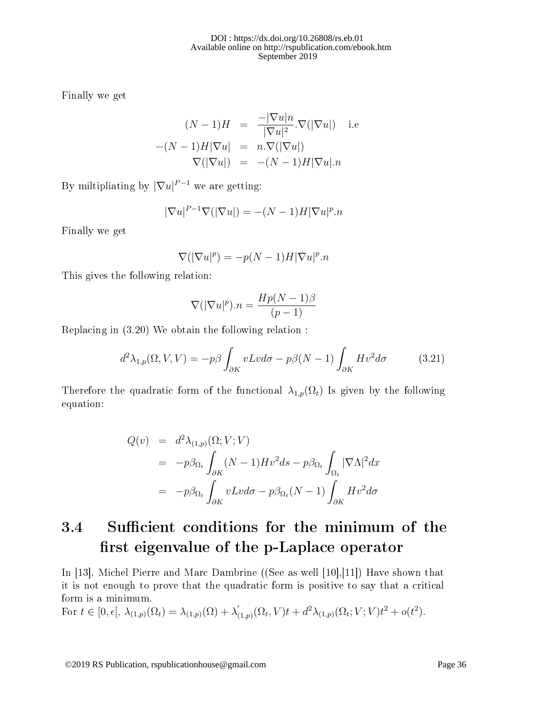Finally we get

$$
(N-1)H = \frac{-|\nabla u|n}{|\nabla u|^2} \cdot \nabla(|\nabla u|) \quad \text{i.e}
$$

$$
-(N-1)H|\nabla u| = n \cdot \nabla(|\nabla u|)
$$

$$
\nabla(|\nabla u|) = -(N-1)H|\nabla u| \cdot n
$$

By miltipliating by  $|\nabla u|^{P-1}$  we are getting:

$$
|\nabla u|^{P-1}\nabla (|\nabla u|) = -(N-1)H|\nabla u|^p.n
$$

Finally we get

$$
\nabla(|\nabla u|^p) = -p(N-1)H|\nabla u|^p.n
$$

This gives the following relation:

$$
\nabla(|\nabla u|^p).n = \frac{Hp(N-1)\beta}{(p-1)}
$$

Replacing in (3.20) We obtain the following relation :

$$
d^2\lambda_{1,p}(\Omega, V, V) = -p\beta \int_{\partial K} vLv d\sigma - p\beta (N-1) \int_{\partial K} Hv^2 d\sigma \qquad (3.21)
$$

Therefore the quadratic form of the functional  $\lambda_{1,p}(\Omega_t)$  Is given by the following equation:

$$
Q(v) = d^2 \lambda_{(1,p)}(\Omega; V; V)
$$
  
=  $-p\beta_{\Omega_t} \int_{\partial K} (N-1)Hv^2 ds - p\beta_{\Omega_t} \int_{\Omega_t} |\nabla \Lambda|^2 dx$   
=  $-p\beta_{\Omega_t} \int_{\partial K} vLv d\sigma - p\beta_{\Omega_t} (N-1) \int_{\partial K} Hv^2 d\sigma$ 

## 3.4 Sufficient conditions for the minimum of the first eigenvalue of the p-Laplace operator

In [13], Michel Pierre and Marc Dambrine ((See as well [10],[11]) Have shown that it is not enough to prove that the quadratic form is positive to say that a critical form is a minimum.

For  $t \in [0, \epsilon[, \lambda_{(1,p)}(\Omega_t) = \lambda_{(1,p)}(\Omega) + \lambda'_0$  $\int_{(1,p)}^{'} (\Omega_t, V)t + d^2 \lambda_{(1,p)}(\Omega_t; V; V)t^2 + o(t^2).$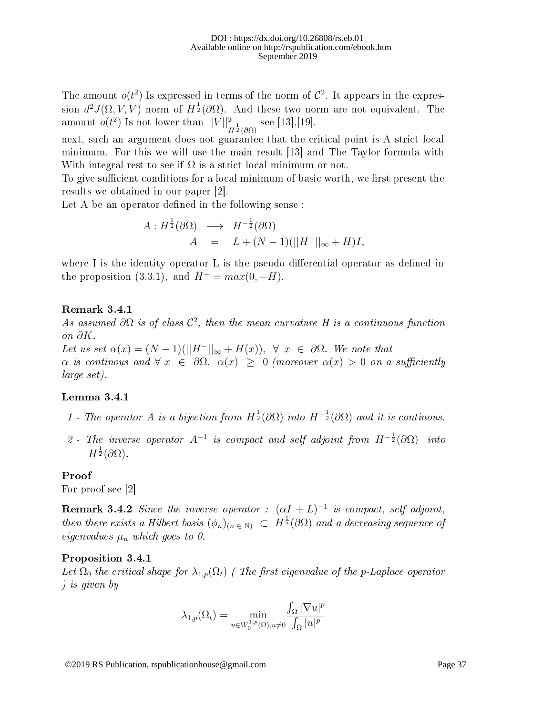The amount  $o(t^2)$  Is expressed in terms of the norm of  $\mathcal{C}^2$ . It appears in the expression  $d^2J(\Omega,V,V)$  norm of  $H^{\frac{1}{2}}(\partial \Omega).$  And these two norm are not equivalent. The amount  $o(t^2)$  Is not lower than  $||V||^2_{H^{\frac{1}{2}}(\partial \Omega)}$  see [13],[19].

next, such an argument does not guarantee that the critical point is A strict local minimum. For this we will use the main result [13] and The Taylor formula with With integral rest to see if  $\Omega$  is a strict local minimum or not.

To give sufficient conditions for a local minimum of basic worth, we first present the results we obtained in our paper [2].

Let A be an operator defined in the following sense:

$$
A: H^{\frac{1}{2}}(\partial \Omega) \longrightarrow H^{-\frac{1}{2}}(\partial \Omega)
$$
  

$$
A = L + (N-1)(||H^{-}||_{\infty} + H)I,
$$

where I is the identity operator L is the pseudo differential operator as defined in the proposition (3.3.1), and  $H^- = max(0, -H)$ .

#### Remark 3.4.1

As assumed  $\partial\Omega$  is of class  $\mathcal{C}^2$ , then the mean curvature H is a continuous function on ∂K.

Let us set  $\alpha(x) = (N-1)(||H^{-}||_{\infty} + H(x)), \forall x \in \partial\Omega$ . We note that  $\alpha$  is continous and  $\forall x \in \partial \Omega$ ,  $\alpha(x) \geq 0$  (moreover  $\alpha(x) > 0$  on a sufficiently large set).

### Lemma 3.4.1

- 1 The operator A is a bijection from  $H^{\frac{1}{2}}(\partial\Omega)$  into  $H^{-\frac{1}{2}}(\partial\Omega)$  and it is continous.
- 2 The inverse operator  $A^{-1}$  is compact and self adjoint from  $H^{-\frac{1}{2}}(\partial \Omega)$  into  $H^{\frac{1}{2}}(\partial\Omega).$

#### Proof

For proof see [2]

**Remark 3.4.2** Since the inverse operator :  $(\alpha I + L)^{-1}$  is compact, self adjoint, then there exists a Hilbert basis  $(\phi_n)_{(n \in \mathbb{N})} \subset H^{\frac{1}{2}}(\partial \Omega)$  and a decreasing sequence of eigenvalues  $\mu_n$  which goes to 0.

#### Proposition 3.4.1

Let  $\Omega_0$  the critical shape for  $\lambda_{1,p}(\Omega_t)$  (The first eigenvalue of the p-Laplace operator ) is given by

$$
\lambda_{1,p}(\Omega_t) = \min_{u \in W_0^{1,p}(\Omega), u \neq 0} \frac{\int_{\Omega} |\nabla u|^p}{\int_{\Omega} |u|^p}
$$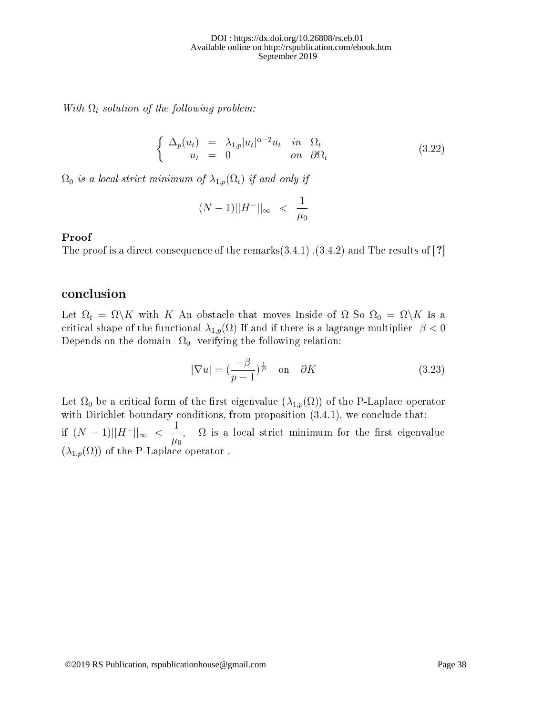With  $\Omega_t$  solution of the following problem:

$$
\begin{cases}\n\Delta_p(u_t) = \lambda_{1,p} |u_t|^{\alpha - 2} u_t & \text{in } \Omega_t \\
u_t = 0 & \text{on } \partial \Omega_t\n\end{cases}
$$
\n(3.22)

 $\Omega_0$  is a local strict minimum of  $\lambda_{1,p}(\Omega_t)$  if and only if

$$
(N-1)||H^{-}||_{\infty} \ \ < \ \ \frac{1}{\mu_0}
$$

#### Proof

The proof is a direct consequence of the remarks $(3.4.1)$ ,  $(3.4.2)$  and The results of [?]

### conclusion

Let  $\Omega_t = \Omega \backslash K$  with K An obstacle that moves Inside of  $\Omega$  So  $\Omega_0 = \Omega \backslash K$  Is a critical shape of the functional  $\lambda_{1,p}(\Omega)$  If and if there is a lagrange multiplier  $\beta < 0$ Depends on the domain  $\Omega_0$  verifying the following relation:

$$
|\nabla u| = \left(\frac{-\beta}{p-1}\right)^{\frac{1}{p}} \quad \text{on} \quad \partial K \tag{3.23}
$$

Let  $\Omega_0$  be a critical form of the first eigenvalue  $(\lambda_{1,p}(\Omega))$  of the P-Laplace operator with Dirichlet boundary conditions, from proposition  $(3.4.1)$ , we conclude that: if  $(N-1)||H^-||_{\infty} < \frac{1}{2}$  $\mu_0$ ,  $\Omega$  is a local strict minimum for the first eigenvalue  $(\lambda_{1,p}(\Omega))$  of the P-Laplace operator.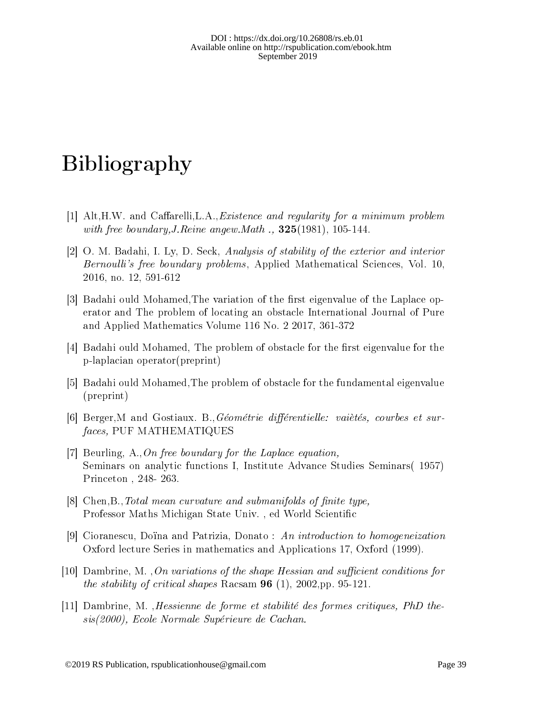# Bibliography

- $[1]$  Alt, H.W. and Caffarelli, L.A., *Existence and regularity for a minimum problem* with free boundary, J. Reine angew. Math  $\ldots$  325(1981), 105-144.
- [2] O. M. Badahi, I. Ly, D. Seck, Analysis of stability of the exterior and interior Bernoulli's free boundary problems, Applied Mathematical Sciences, Vol. 10, 2016, no. 12, 591-612
- [3] Badahi ould Mohamed, The variation of the first eigenvalue of the Laplace operator and The problem of locating an obstacle International Journal of Pure and Applied Mathematics Volume 116 No. 2 2017, 361-372
- $[4]$  Badahi ould Mohamed, The problem of obstacle for the first eigenvalue for the p-laplacian operator(preprint)
- [5] Badahi ould Mohamed,The problem of obstacle for the fundamental eigenvalue (preprint)
- [6] Berger,M and Gostiaux. B.,Géométrie diérentielle: vaiètés, courbes et surfaces, PUF MATHEMATIQUES
- [7] Beurling, A.,On free boundary for the Laplace equation, Seminars on analytic functions I, Institute Advance Studies Seminars( 1957) Princeton , 248- 263.
- $[8]$  Chen, B., Total mean curvature and submanifolds of finite type, Professor Maths Michigan State Univ., ed World Scientific
- [9] Cioranescu, Doïna and Patrizia, Donato : An introduction to homogeneization Oxford lecture Series in mathematics and Applications 17, Oxford (1999).
- [10] Dambrine, M., On variations of the shape Hessian and sufficient conditions for the stability of critical shapes Racsam  $96$  (1), 2002,pp. 95-121.
- [11] Dambrine, M. ,Hessienne de forme et stabilité des formes critiques, PhD thesis(2000), Ecole Normale Supérieure de Cachan.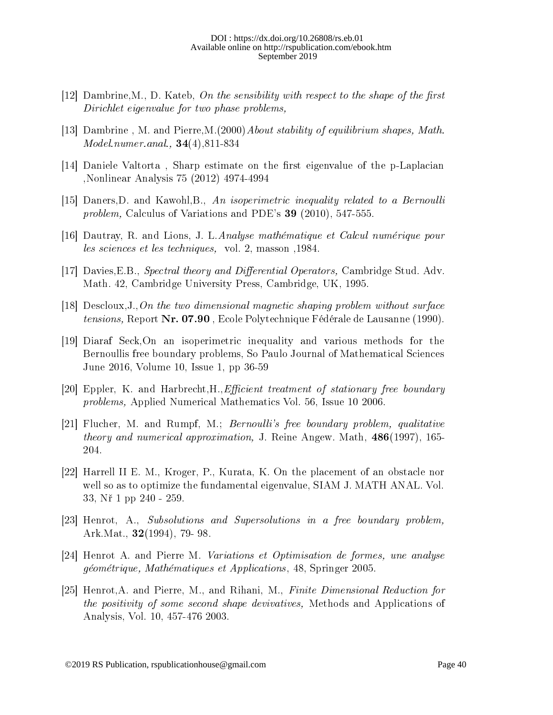- [12] Dambrine, M., D. Kateb, On the sensibility with respect to the shape of the first Dirichlet eigenvalue for two phase problems,
- [13] Dambrine, M. and Pierre, M. (2000) About stability of equilibrium shapes, Math. Model.numer.anal., 34(4),811-834
- $[14]$  Daniele Valtorta, Sharp estimate on the first eigenvalue of the p-Laplacian ,Nonlinear Analysis 75 (2012) 4974-4994
- [15] Daners,D. and Kawohl,B., An isoperimetric inequality related to a Bernoulli problem, Calculus of Variations and PDE's 39 (2010), 547-555.
- [16] Dautray, R. and Lions, J. L.Analyse mathématique et Calcul numérique pour les sciences et les techniques, vol. 2, masson ,1984.
- [17] Davies, E.B., Spectral theory and Differential Operators, Cambridge Stud. Adv. Math. 42, Cambridge University Press, Cambridge, UK, 1995.
- [18] Descloux, J., On the two dimensional magnetic shaping problem without surface tensions, Report Nr. 07.90 , Ecole Polytechnique Fédérale de Lausanne (1990).
- [19] Diaraf Seck,On an isoperimetric inequality and various methods for the Bernoullis free boundary problems, So Paulo Journal of Mathematical Sciences June 2016, Volume 10, Issue 1, pp 36-59
- [20] Eppler, K. and Harbrecht, H., *Efficient treatment of stationary free boundary* problems, Applied Numerical Mathematics Vol. 56, Issue 10 2006.
- [21] Flucher, M. and Rumpf, M.; Bernoulli's free boundary problem, qualitative theory and numerical approximation, J. Reine Angew. Math, 486(1997), 165- 204.
- [22] Harrell II E. M., Kroger, P., Kurata, K. On the placement of an obstacle nor well so as to optimize the fundamental eigenvalue, SIAM J. MATH ANAL. Vol. 33, N° 1 pp 240 - 259.
- [23] Henrot, A., Subsolutions and Supersolutions in a free boundary problem, Ark.Mat., 32(1994), 79- 98.
- [24] Henrot A. and Pierre M. Variations et Optimisation de formes, une analyse géométrique, Mathématiques et Applications, 48, Springer 2005.
- [25] Henrot,A. and Pierre, M., and Rihani, M., Finite Dimensional Reduction for the positivity of some second shape devivatives, Methods and Applications of Analysis, Vol. 10, 457-476 2003.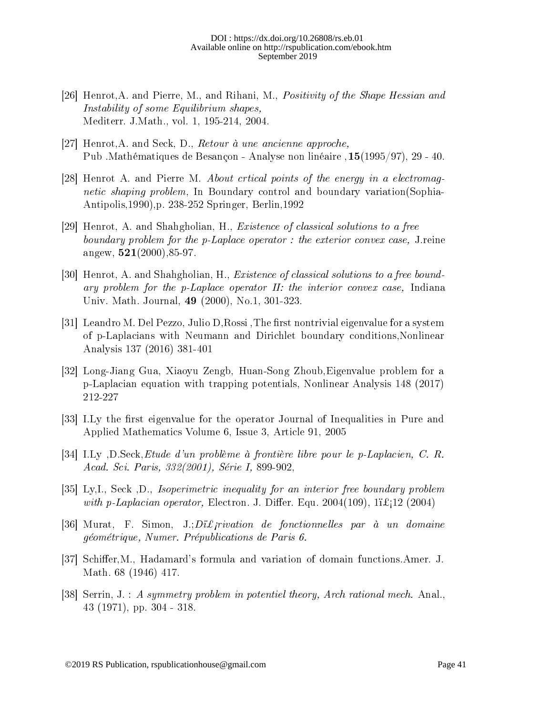- [26] Henrot,A. and Pierre, M., and Rihani, M., Positivity of the Shape Hessian and Instability of some Equilibrium shapes, Mediterr. J.Math., vol. 1, 195-214, 2004.
- [27] Henrot,A. and Seck, D., Retour à une ancienne approche, Pub .Mathématiques de Besançon - Analyse non linéaire ,15(1995/97), 29 - 40.
- [28] Henrot A. and Pierre M. About crtical points of the energy in a electromagnetic shaping problem, In Boundary control and boundary variation(Sophia-Antipolis,1990),p. 238-252 Springer, Berlin,1992
- [29] Henrot, A. and Shahgholian, H., Existence of classical solutions to a free boundary problem for the p-Laplace operator : the exterior convex case, J.reine angew,  $521(2000)$ , 85-97.
- [30] Henrot, A. and Shahgholian, H., Existence of classical solutions to a free boundary problem for the p-Laplace operator II: the interior convex case, Indiana Univ. Math. Journal, 49 (2000), No.1, 301-323.
- [31] Leandro M. Del Pezzo, Julio D, Rossi, The first nontrivial eigenvalue for a system of p-Laplacians with Neumann and Dirichlet boundary conditions,Nonlinear Analysis 137 (2016) 381-401
- [32] Long-Jiang Gua, Xiaoyu Zengb, Huan-Song Zhoub,Eigenvalue problem for a p-Laplacian equation with trapping potentials, Nonlinear Analysis 148 (2017) 212-227
- [33] I.Ly the first eigenvalue for the operator Journal of Inequalities in Pure and Applied Mathematics Volume 6, Issue 3, Article 91, 2005
- [34] I.Ly ,D.Seck,Etude d'un problème à frontière libre pour le p-Laplacien, C. R. Acad. Sci. Paris, 332(2001), Série I, 899-902,
- [35] Ly,I., Seck ,D., Isoperimetric inequality for an interior free boundary problem with p-Laplacian operator, Electron. J. Differ. Equ. 2004(109),  $1\mathbf{i}\pounds_1\mathbf{12}$  (2004)
- [36] Murat, F. Simon,  $J:Di\mathcal{L}$  *frivation de fonctionnelles par à un domaine* géométrique, Numer. Prépublications de Paris 6.
- [37] Schiffer, M., Hadamard's formula and variation of domain functions. Amer. J. Math. 68 (1946) 417.
- [38] Serrin, J. : A symmetry problem in potentiel theory, Arch rational mech. Anal., 43 (1971), pp. 304 - 318.